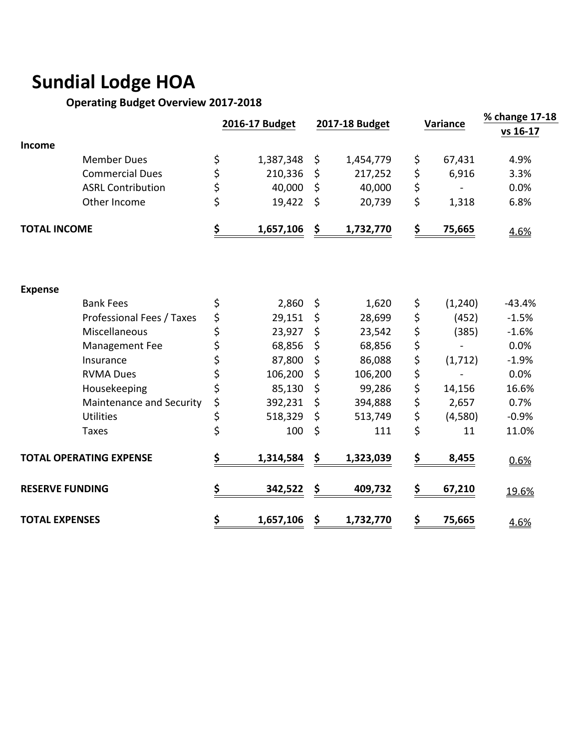# **Sundial Lodge HOA**

## **Operating Budget Overview 2017-2018**

|                        |                                |                 |                 |                | % change 17-18 |
|------------------------|--------------------------------|-----------------|-----------------|----------------|----------------|
|                        |                                | 2016-17 Budget  | 2017-18 Budget  | Variance       | vs 16-17       |
| <b>Income</b>          |                                |                 |                 |                |                |
|                        | <b>Member Dues</b>             | \$<br>1,387,348 | \$<br>1,454,779 | \$<br>67,431   | 4.9%           |
|                        | <b>Commercial Dues</b>         | \$<br>210,336   | \$<br>217,252   | \$<br>6,916    | 3.3%           |
|                        | <b>ASRL Contribution</b>       | \$<br>40,000    | \$<br>40,000    | \$             | 0.0%           |
|                        | Other Income                   | \$<br>19,422    | \$<br>20,739    | \$<br>1,318    | 6.8%           |
| <b>TOTAL INCOME</b>    |                                | \$<br>1,657,106 | \$<br>1,732,770 | \$<br>75,665   | 4.6%           |
|                        |                                |                 |                 |                |                |
| <b>Expense</b>         |                                |                 |                 |                |                |
|                        | <b>Bank Fees</b>               | \$<br>2,860     | \$<br>1,620     | \$<br>(1, 240) | $-43.4%$       |
|                        | Professional Fees / Taxes      | \$<br>29,151    | \$<br>28,699    | \$<br>(452)    | $-1.5%$        |
|                        | Miscellaneous                  | \$<br>23,927    | \$<br>23,542    | \$<br>(385)    | $-1.6%$        |
|                        | Management Fee                 | \$<br>68,856    | \$<br>68,856    | \$             | 0.0%           |
|                        | Insurance                      | \$<br>87,800    | \$<br>86,088    | \$<br>(1, 712) | $-1.9%$        |
|                        | <b>RVMA Dues</b>               | \$<br>106,200   | \$<br>106,200   | \$             | 0.0%           |
|                        | Housekeeping                   | \$<br>85,130    | \$<br>99,286    | \$<br>14,156   | 16.6%          |
|                        | Maintenance and Security       | \$<br>392,231   | \$<br>394,888   | \$<br>2,657    | 0.7%           |
|                        | <b>Utilities</b>               | \$<br>518,329   | \$<br>513,749   | \$<br>(4,580)  | $-0.9%$        |
|                        | <b>Taxes</b>                   | \$<br>100       | \$<br>111       | \$<br>11       | 11.0%          |
|                        | <b>TOTAL OPERATING EXPENSE</b> | \$<br>1,314,584 | \$<br>1,323,039 | \$<br>8,455    | 0.6%           |
| <b>RESERVE FUNDING</b> |                                | \$<br>342,522   | \$<br>409,732   | \$<br>67,210   | 19.6%          |
| <b>TOTAL EXPENSES</b>  |                                | \$<br>1,657,106 | \$<br>1,732,770 | \$<br>75,665   | 4.6%           |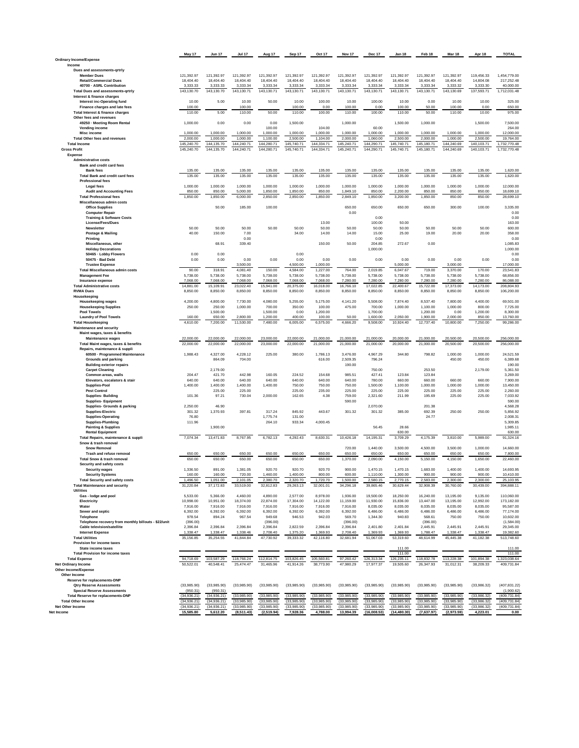| Ordinary Income/Expense                                     |                          | <b>Jun 17</b>            | <b>Jul 17</b>              | Aug 17                     | Sep 17                  | Oct 17                  | Nov 17                   | Dec 17                     | Jan 18                      | Feb <sub>18</sub>         | <b>Mar 18</b>             | Apr 18                  | <b>TOTAL</b>               |
|-------------------------------------------------------------|--------------------------|--------------------------|----------------------------|----------------------------|-------------------------|-------------------------|--------------------------|----------------------------|-----------------------------|---------------------------|---------------------------|-------------------------|----------------------------|
|                                                             |                          |                          |                            |                            |                         |                         |                          |                            |                             |                           |                           |                         |                            |
| Income                                                      |                          |                          |                            |                            |                         |                         |                          |                            |                             |                           |                           |                         |                            |
| Dues and assessments-grtrly                                 |                          |                          |                            |                            |                         |                         |                          |                            |                             |                           |                           |                         |                            |
| <b>Member Dues</b>                                          | 121.392.97               | 121.392.97               | 121.392.97                 | 121.392.97                 | 121.392.97              | 121.392.97              | 121.392.97               | 121.392.97                 | 121.392.97                  | 121.392.97                | 121.392.97                | 119.456.33              | 1,454,779.00               |
| <b>Retail/Commercial Dues</b>                               | 18,404.40                | 18,404.40                | 18,404.40                  | 18,404.40                  | 18,404.40               | 18,404.40               | 18,404.40                | 18,404.40                  | 18,404.40                   | 18,404.40                 | 18,404.40                 | 14,804.08               | 217,252.48                 |
| 40700 - ASRL Contribution                                   | 3,333.33                 | 3,333.33                 | 3,333.34                   | 3,333.34                   | 3,333.34                | 3,333.34                | 3,333.34                 | 3,333.34                   | 3,333.34                    | 3,333.34                  | 3,333.32                  | 3,333.30                | 40,000.00                  |
| <b>Total Dues and assessments-grtrly</b>                    | 143,130.70               | 143,130.70               | 143,130.71                 | 143,130.71                 | 143,130.71              | 143,130.71              | 143,130.71               | 143,130.71                 | 143,130.71                  | 143,130.71                | 143,130.69                | 137,593.71              | 1,712,031.48               |
| Interest & finance charges<br>Interest inc-Operating fund   | 10.00                    | 5.00                     | 10.00                      | 50.00                      | 10.00                   | 100.00                  | 10.00                    | 100.00                     | 10.00                       | 0.00                      | 10.00                     | 10.00                   | 325.00                     |
| Finance charges and late fees                               | 100.00                   |                          | 100.00                     |                            | 100.00                  | 0.00                    | 100.00                   | 0.00                       | 100.00                      | 50.00                     | 100.00                    | 0.00                    | 650.00                     |
| Total Interest & finance charges                            | 110.00                   | 5.00                     | 110.00                     | 50.00                      | 110.00                  | 100.00                  | 110.00                   | 100.00                     | 110.00                      | 50.00                     | 110.00                    | 10.00                   | 975.00                     |
| Other fees and revenues                                     |                          |                          |                            |                            |                         |                         |                          |                            |                             |                           |                           |                         |                            |
| 49250 - Meeting Room Rental                                 | 1,000.00                 | 0.00                     | 0.00                       | 0.00                       | 1,500.00                |                         | 1,000.00                 |                            | 1,500.00                    | 1,000.00                  |                           | 1,500.00                | 7,500.00                   |
| Vending income                                              |                          |                          |                            | 100.00                     |                         | 104.00                  |                          | 60.00                      |                             |                           |                           |                         | 264.00                     |
| Misc income                                                 | 1.000.00                 | 1.000.00                 | 1,000.00                   | 1.000.00                   | 1.000.00                | 1,000.00                | 1.000.00                 | 1,000.00                   | 1.000.00                    | 1.000.00                  | 1,000.00                  | 1,000.00                | 12,000.00                  |
| <b>Total Other fees and revenues</b>                        | 2,000.00                 | 1,000.00                 | 1,000.00                   | 1,100.00                   | 2.500.00                | 1,104.00                | 2,000.00                 | 1,060.00                   | 2,500.00                    | 2,000.00                  | 1,000.00                  | 2,500.00                | 19,764.00                  |
| <b>Total Income</b>                                         | 145,240.70               | 144,135.70               | 144,240.71                 | 144,280.71                 | 145,740.71              | 144.334.71              | 145.240.71               | 144.290.71                 | 145.740.71                  | 145,180.71                | 144,240.69                | 140,103.71              | 1,732,770.48               |
| <b>Gross Profit</b>                                         | 145,240.70               | 144,135.70               | 144,240.71                 | 144,280.71                 | 145,740.71              | 144,334.71              | 145,240.71               | 144,290.71                 | 145,740.71                  | 145,180.71                | 144,240.69                | 140,103.71              | 1,732,770.48               |
| Expense                                                     |                          |                          |                            |                            |                         |                         |                          |                            |                             |                           |                           |                         |                            |
| <b>Administrative costs</b>                                 |                          |                          |                            |                            |                         |                         |                          |                            |                             |                           |                           |                         |                            |
| Bank and credit card fees                                   |                          |                          |                            |                            |                         |                         |                          |                            |                             |                           |                           |                         |                            |
| <b>Bank fees</b>                                            | 135.00                   | 135.00                   | 135.00                     | 135.00                     | 135.00                  | 135.00                  | 135.00                   | 135.00                     | 135.00                      | 135.00                    | 135.00                    | 135.00                  | 1,620.00                   |
| <b>Total Bank and credit card fees</b>                      | 135.00                   | 135.00                   | 135.00                     | 135.00                     | 135.00                  | 135.00                  | 135.00                   | 135.00                     | 135.00                      | 135.00                    | 135.00                    | 135.00                  | 1,620.00                   |
| <b>Professional fees</b>                                    |                          |                          |                            |                            |                         |                         |                          |                            |                             |                           |                           |                         |                            |
| Legal fees                                                  | 1,000.00                 | 1,000.00                 | 1,000.00                   | 1,000.00                   | 1,000.00                | 1,000.00                | 1,000.00                 | 1,000.00                   | 1,000.00                    | 1,000.00                  | 1,000.00                  | 1,000.00                | 12,000.00                  |
| <b>Audit and Accounting Fees</b>                            | 850.00                   | 850.00                   | 5,000.00                   | 1,850.00                   | 1,850.00                | 850.00                  | 1,849.10                 | 850.00                     | 2,200.00                    | 850.00                    | 850.00                    | 850.00                  | 18,699.10                  |
| <b>Total Professional fees</b>                              | 1,850.00                 | 1,850.00                 | 6.000.00                   | 2,850.00                   | 2.850.00                | 1,850.00                | 2,849.10                 | 1,850.00                   | 3,200.00                    | 1,850.00                  | 850.00                    | 850.00                  | 28,699.10                  |
| Miscellaneous admin costs                                   |                          |                          |                            |                            |                         |                         |                          |                            |                             |                           |                           |                         |                            |
| <b>Office Supplies</b>                                      |                          | 50.00                    | 185.00                     | 100.00                     |                         |                         | 650.00                   | 650.00                     | 650.00                      | 650.00                    | 300.00                    | 100.00                  | 3,335.00                   |
| <b>Computer Repair</b>                                      |                          |                          |                            |                            |                         |                         | 0.00                     |                            |                             |                           |                           |                         | 0.00                       |
| <b>Training &amp; Software Costs</b>                        |                          |                          |                            |                            |                         |                         |                          | 0.00                       |                             |                           |                           |                         | 0.00                       |
| License/Fees/Dues                                           |                          |                          |                            |                            |                         | 13.00                   |                          | 100.00                     | 50.00                       |                           |                           |                         | 163.00                     |
| Newsletter                                                  | 50.00                    | 50.00                    | 50.00                      | 50.00                      | 50.00                   | 50.00                   | 50.00                    | 50.00                      | 50.00                       | 50.00                     | 50.00                     | 50.00                   | 600.00                     |
| Postage & Mailing                                           | 40.00                    | 150.00                   | 7.00                       |                            | 34.00                   | 14.00                   | 14.00                    | 15.00                      | 25.00                       | 19.00                     | 20.00                     | 20.00                   | 358.00                     |
| Printing                                                    |                          |                          | 0.00                       |                            |                         |                         |                          | 0.00                       |                             |                           |                           |                         | 0.00                       |
| Miscellaneous, other                                        |                          | 68.91                    | 339.40                     |                            |                         | 150.00                  | 50.00                    | 204.85                     | 272.67                      | 0.00                      |                           |                         | 1,085.83                   |
| <b>Holiday Decorations</b>                                  |                          |                          |                            |                            |                         |                         |                          | 1.000.00                   |                             |                           |                           |                         | 1,000.00                   |
| 50465 - Lobby Flowers                                       | 0.00                     | 0.00                     |                            |                            | 0.00                    |                         |                          |                            |                             |                           |                           |                         | 0.00                       |
| 50475 - Bad Debt<br><b>Trustee Expense</b>                  | 0.00                     | 0.00                     | 0.00<br>3,500.00           | 0.00                       | 0.00<br>4,500.00        | 0.00<br>1,000.00        | 0.00                     | 0.00                       | 0.00<br>5,000.00            | 0.00                      | 0.00<br>3,000.00          | 0.00                    | 0.00<br>17,000.00          |
| <b>Total Miscellaneous admin costs</b>                      | 90.00                    | 318.91                   | 4,081.40                   | 150.00                     | 4,584.00                | 1,227.00                | 764.00                   | 2,019.85                   | 6,047.67                    | 719.00                    | 3,370.00                  | 170.00                  | 23,541.83                  |
| <b>Management Fee</b>                                       | 5,738.00                 | 5,738.00                 | 5,738.00                   | 5,738.00                   | 5,738.00                | 5,738.00                | 5,738.00                 | 5,738.00                   | 5,738.00                    | 5,738.00                  | 5,738.00                  | 5,738.00                | 68,856.00                  |
| Insurance expense                                           | 7.068.00                 | 7,068.00                 | 7.068.00                   | 7.068.00                   | 7,068.00                | 7,068.00                | 7,280.00                 | 7,280.00                   | 7,280.00                    | 7,280.00                  | 7,280.00                  | 7,280.00                | 86,088.00                  |
| <b>Total Administrative costs</b>                           | 14,881.00                | 15,109.91                | 23,022.40                  | 15,941.00                  | 20,375.00               | 16,018.00               | 16,766.10                | 17,022.85                  | 22,400.67                   | 15,722.00                 | 17,373.00                 | 14,173.00               | 208,804.93                 |
| <b>RVMA Dues</b>                                            | 8,850.00                 | 8,850.00                 | 8,850.00                   | 8,850.00                   | 8,850.00                | 8,850.00                | 8,850.00                 | 8,850.00                   | 8,850.00                    | 8,850.00                  | 8,850.00                  | 8,850.00                | 106,200.00                 |
| Housekeeping                                                |                          |                          |                            |                            |                         |                         |                          |                            |                             |                           |                           |                         |                            |
| <b>Housekeeping wages</b>                                   | 4.200.00                 | 4.800.00                 | 7.730.00                   | 4.080.00                   | 5.255.00                | 5.175.00                | 4.141.20                 | 5,508.00                   | 7.874.40                    | 8.537.40                  | 7,800.00                  | 4.400.00                | 69,501.00                  |
| <b>Housekeeping Supplies</b>                                | 250.00                   | 250.00                   | 1,000.00                   | 700.00                     | 350.00                  | 100.00                  | 475.00                   | 700.00                     | 1,000.00                    | 1,100.00                  | 1,000.00                  | 800.00                  | 7,725.00                   |
| <b>Pool Towels</b>                                          |                          | 1,500.00                 |                            | 1,500.00                   | 0.00                    | 1,200.00                |                          | 1,700.00                   |                             | 1,200.00                  | 0.00                      | 1,200.00                | 8,300.00                   |
| <b>Laundry of Pool Towels</b>                               | 160.00                   | 650.00                   | 2,800.00                   | 1,200.00                   | 400.00                  | 100.00                  | 50.00                    | 1.600.00                   | 2,050.00                    | 1.900.00                  | 2.000.00                  | 850.00                  | 13,760.00                  |
| <b>Total Housekeeping</b>                                   | 4,610.00                 | 7,200.00                 | 11,530.00                  | 7,480.00                   | 6,005.00                | 6,575.00                | 4,666.20                 | 9,508.00                   | 10,924.40                   | 12,737.40                 | 10,800.00                 | 7,250.00                | 99,286.00                  |
| <b>Maintenance and security</b>                             |                          |                          |                            |                            |                         |                         |                          |                            |                             |                           |                           |                         |                            |
| Maint wages, taxes & benefits                               |                          |                          |                            |                            |                         |                         |                          |                            |                             |                           |                           |                         |                            |
| <b>Maintenance wages</b>                                    | 22,000.00                | 22,000.00                | 22,000.00                  | 23,000.00                  | 22,000.00               | 21,000.00               | 21,000.00                | 21,000.00                  | 20,000.00                   | 21,000.00                 | 20,500.00                 | 20,500.00               | 256,000.00                 |
| Total Maint wages, taxes & benefits                         | 22,000.00                | 22,000.00                | 22,000.00                  | 23,000.00                  | 22.000.00               | 21,000.00               | 21,000.00                | 21,000.00                  | 20,000.00                   | 21.000.00                 | 20,500.00                 | 20,500.00               | 256,000.00                 |
| Repairs, maintenance & suppli                               |                          |                          |                            |                            |                         |                         |                          |                            |                             |                           |                           |                         |                            |
| 60500 - Programmed Maintenance                              | 1,988.43                 | 4,327.00                 | 4,228.12                   | 225.00                     | 380.00                  | 1,786.13                | 3,476.00                 | 4,967.29                   | 344.80                      | 798.82                    | 1,000.00                  | 1,000.00                | 24,521.59                  |
|                                                             |                          |                          |                            |                            |                         |                         |                          |                            |                             |                           |                           |                         |                            |
| <b>Grounds and parking</b>                                  |                          | 864.09                   | 704.00                     |                            |                         | 616.00                  | 2,509.35                 | 796.24                     |                             |                           | 450.00                    | 450.00                  | 6,389.68                   |
| <b>Building exterior repairs</b>                            |                          |                          |                            |                            |                         |                         | 190.00                   |                            |                             |                           |                           |                         | 190.00                     |
| <b>Carpet Cleaning</b>                                      |                          | 2,179.00                 |                            |                            |                         |                         |                          | 750.00                     |                             | 253.50                    |                           | 2,179.00                | 5,361.50                   |
| Common areas, walls                                         | 204.47                   | 421.70                   | 442.98                     | 160.05                     | 224.52                  | 154.68                  | 985.51                   | 427.41                     | 123.84                      | 123.84                    |                           |                         | 3,269.00                   |
| Elevators, escalators & stair                               | 640.00                   | 640.00                   | 640.00                     | 640.00                     | 640.00                  | 640.00                  | 640.00                   | 780.00                     | 660.00                      | 660.00                    | 660.00                    | 660.00                  | 7,900.00                   |
| Supplies-Pool                                               | 1,400.00                 | 1,400.00                 | 1,400.00                   | 1,400.00                   | 750.00                  | 750.00                  | 750.00                   | 1,500.00                   | 1,100.00                    | 1,000.00                  | 1,000.00                  | 1,000.00                | 13,450.00                  |
| <b>Pest Control</b>                                         |                          | 225.00                   | 225.00                     |                            | 225.00                  | 235.00                  | 225.00                   | 225.00                     | 225.00                      | 225.00                    | 225.00                    | 225.00                  | 2,260.00                   |
| <b>Supplies-Building</b>                                    | 101.36                   | 97.21                    | 730.04                     | 2,000.00                   | 162.65                  | 4.38                    | 759.00                   | 2,321.60                   | 211.99                      | 195.69                    | 225.00                    | 225.00                  | 7,033.92                   |
| <b>Supplies-Equipment</b>                                   |                          |                          |                            |                            |                         |                         | 590.00                   |                            |                             |                           |                           |                         | 590.00                     |
| Supplies- Grounds & parking                                 | 2,250.00                 | 46.90                    |                            |                            |                         |                         |                          | 2.070.00                   |                             | 201.38                    |                           |                         | 4,568.28                   |
| <b>Supplies-Electric</b>                                    | 301.32                   | 1,370.93                 | 397.81                     | 317.24                     | 845.92                  | 443.67                  | 301.32                   | 301.32                     | 385.00                      | 692.39                    | 250.00                    | 250.00                  | 5,856.92                   |
| <b>Supplies-Operating</b>                                   | 76.80                    |                          |                            | 1,775.74                   | 131.00                  |                         |                          |                            |                             | 24.77                     |                           |                         | 2,008.31                   |
| Supplies-Plumbing                                           | 111.96                   |                          |                            | 264.10                     | 933.34                  | 4.000.45                |                          |                            |                             |                           |                           |                         | 5,309.85                   |
| <b>Painting &amp; Supplies</b>                              |                          | 1,900.00                 |                            |                            |                         |                         |                          | 56.45                      | 28.66                       |                           |                           |                         | 1,985.11                   |
| <b>Rental Equipment</b>                                     | 7,074.34                 | 13,471.83                | 8,767.95                   | 6,782.13                   | 4,292.43                | 8,630.31                | 10,426.18                | 14,195.31                  | 630.00<br>3,709.29          | 4,175.39                  | 3,810.00                  | 5,989.00                | 630.00<br>91,324.16        |
| Total Repairs, maintenance & suppli<br>Snow & trash removal |                          |                          |                            |                            |                         |                         |                          |                            |                             |                           |                           |                         |                            |
| <b>Snow Removal</b>                                         |                          |                          |                            |                            |                         |                         | 720.00                   | 1,440.00                   | 3,500.00                    | 4,500.00                  | 3,500.00                  | 1,000.00                | 14,660.00                  |
| Trash and refuse removal                                    | 650.00                   | 650.00                   | 650.00                     | 650.00                     | 650.00                  | 650.00                  | 650.00                   | 650.00                     | 650.00                      | 650.00                    | 650.00                    | 650.00                  | 7,800.00                   |
| <b>Total Snow &amp; trash removal</b>                       | 650.00                   | 650.00                   | 650.00                     | 650.00                     | 650.00                  | 650.00                  | 1.370.00                 | 2,090.00                   | 4,150.00                    | 5,150.00                  | 4.150.00                  | 1.650.00                | 22,460.00                  |
| Security and safety costs                                   |                          |                          |                            |                            |                         |                         |                          |                            |                             |                           |                           |                         |                            |
| <b>Security wages</b>                                       | 1,336.50                 | 891.00                   | 1,381.05                   | 920.70                     | 920.70                  | 920.70                  | 900.00                   | 1,470.15                   | 1,470.15                    | 1,683.00                  | 1,400.00                  | 1,400.00                | 14,693.95                  |
| <b>Security Systems</b>                                     | 160.00                   | 160.00                   | 720.00                     | 1.460.00                   | 1.400.00                | 800.00                  | 600.00                   | 1.110.00                   | 1.300.00                    | 900.00                    | 900.00                    | 900.00                  | 10.410.00                  |
| <b>Total Security and safety costs</b>                      | 1.496.50                 | 1.051.00                 | 2,101.05                   | 2.380.70                   | 2.320.70                | 1.720.70                | 1,500.00                 | 2.580.15                   | 2.770.15                    | 2.583.00                  | 2.300.00                  | 2,300.00                | 25,103.95                  |
| <b>Total Maintenance and security</b>                       | 31,220.84                | 37,172.83                | 33.519.00                  | 32,812.83                  | 29,263.13               | 32,001.01               | 34.296.18                | 39 865 46                  | 30.629.44                   | 32 908 39                 | 30.760.00                 | 30 439 00               | 394.888.11                 |
| <b>Utilities</b>                                            |                          |                          |                            |                            |                         |                         |                          |                            |                             |                           |                           |                         |                            |
| Gas - lodge and pool                                        | 5,533.00                 | 5,366.00                 | 4,460.00                   | 4,890.00                   | 2,577.00                | 8,978.00                | 1,936.00                 | 19,500.00                  | 18,250.00                   | 16,240.00                 | 13,195.00                 | 9,135.00                | 110,060.00                 |
| Electricity                                                 | 10.998.00                | 10.951.00                | 18,374.00                  | 22.874.00                  | 17,304.00               | 14.122.00               | 11.159.00                | 11.930.00                  | 15,836.00                   | 13,447.00                 | 13.195.00                 | 12,992.00               | 173,182.00                 |
| Water                                                       | 7,916.00                 | 7,916.00                 | 7,916.00                   | 7,916.00                   | 7,916.00                | 7,916.00                | 7,916.00                 | 8,035.00                   | 8,035.00                    | 8,035.00                  | 8,035.00                  | 8,035.00                | 95,587.00                  |
| Sewer and septic                                            | 6,392.00                 | 6,392.00                 | 6,392.00                   | 6,392.00                   | 6,392.00                | 6,392.00                | 6,392.00                 | 6,486.00                   | 6,486.00                    | 6,486.00                  | 6,486.00                  | 6,486.00                | 77,174.00                  |
| Telephone                                                   | 978.54                   | 894.24                   | 967.54                     | 949.68                     | 946.53                  | 942.03                  | 569.70                   | 1.344.30                   | 940.83                      | 568.61                    | 750.00                    | 750.00                  | 10.602.00                  |
| Telephone recovery from monthly billouts - \$22/unit        | (396.00)                 |                          |                            | (396.00)                   |                         |                         | (396.00)                 |                            |                             | (396.00)                  |                           |                         | (1,584.00)                 |
| Cable television/satellite                                  | 2,396.84                 | 2,396.84                 | 2.396.84                   | 2,396.84                   | 2,822.59                | 2.396.84                | 2.396.84                 | 2,401.80                   | 2.401.84                    | 2,445.91                  | 2.445.91                  | 2,445.91                | 29,345.00                  |
| <b>Internet Expense</b><br><b>Total Utilities</b>           | 1,338.47                 | 1,338.47<br>35 254 55    | 1,338.46                   | 2,708.40                   | 1.375.20                | 1.369.93                | 2.708.40                 | 1,369.93                   | 1.369.93                    | 1,788.47                  | 1,338.47                  | 1,338.47                | 19,382.60                  |
|                                                             | 35,156.85                |                          | 41,844.84                  | 47,730.92                  | 39,333.32               | 42,116.80               | 32,681.94                | 51,067.03                  | 53,319.60                   | 48,614.99                 | 45,445.38                 | 41,182.38               | 513,748.60                 |
| Provision for income taxes<br>State income taxes            |                          |                          |                            |                            |                         |                         |                          |                            | 111.00                      |                           |                           |                         | 111.00                     |
| <b>Total Provision for income taxes</b>                     |                          |                          |                            |                            |                         |                         |                          |                            |                             |                           |                           |                         |                            |
|                                                             |                          |                          |                            |                            |                         |                         |                          |                            | 111.00                      |                           |                           |                         | 111.00                     |
| <b>Total Expense</b>                                        | 94,718.69<br>50.522.01   | 103,587.29<br>40.548.41  | 118,766.24<br>25.474.47    | 112,814.75<br>31 465 96    | 103,826.45<br>41.914.26 | 105,560.81<br>38 773 90 | 97,260.42<br>47.980.29   | 126,313.34<br>17.977.37    | 126,235.11<br>19,505.60     | 118,832.78<br>26.347.93   | 113,228.38<br>31.012.31   | 101,894.38<br>38.209.33 | 1,323,038.64<br>409 731 84 |
| Net Ordinary Income                                         |                          |                          |                            |                            |                         |                         |                          |                            |                             |                           |                           |                         |                            |
| Other Income/Expense<br>Other Income                        |                          |                          |                            |                            |                         |                         |                          |                            |                             |                           |                           |                         |                            |
| <b>Reserve for replacements-DNP</b>                         |                          |                          |                            |                            |                         |                         |                          |                            |                             |                           |                           |                         |                            |
| <b>Qtry Reserve Assessments</b>                             | (33,985.90)              | (33,985.90)              | (33,985.90)                | (33,985.90)                | (33,985.90)             | (33,985.90)             | (33,985.90)              | (33,985.90)                | (33,985.90)                 | (33,985.90)               | (33,985.90)               | (33,986.32)             | (407, 831.22)              |
| <b>Special Reserve Assessments</b>                          | (950.31)                 | (950.31)                 |                            |                            |                         |                         |                          |                            |                             |                           |                           |                         | (1,900.62)                 |
| <b>Total Reserve for replacements-DNP</b>                   | (34, 936.21)             | (34, 936.21)             | (33,985.90)                | (33,985.90)                | (33,985.90)             | (33, 985.90)            | (33,985.90)              | (33,985.90)                | (33,985.90)                 | (33,985.90)               | (33,985.90)               | (33,986.32)             | (409, 731.84)              |
| <b>Total Other Income</b>                                   | (34,936.21)              | (34, 936.21)             | (33,985.90)                | (33.985.90)                | (33,985.90)             | (33, 985.90)            | (33,985.90)              | (33,985.90)                | (33,985.90)                 | (33,985.90)               | (33,985.90)               | (33,986.32)             | (409, 731.84)              |
| Net Other Income<br>Net Income                              | (34,936.21)<br>15,585.80 | (34, 936.21)<br>5,612.20 | (33,985.90)<br>(8, 511.43) | (33,985.90)<br>(2, 519.94) | (33,985.90)<br>7,928.36 | (33,985.90)<br>4,788.00 | (33,985.90)<br>13,994.39 | (33,985.90)<br>(16,008.53) | (33,985.90)<br>(14, 480.30) | (33,985.90)<br>(7,637.97) | (33,985.90)<br>(2,973.59) | (33,986.32)<br>4,223.01 | (409, 731.84)<br>0.00      |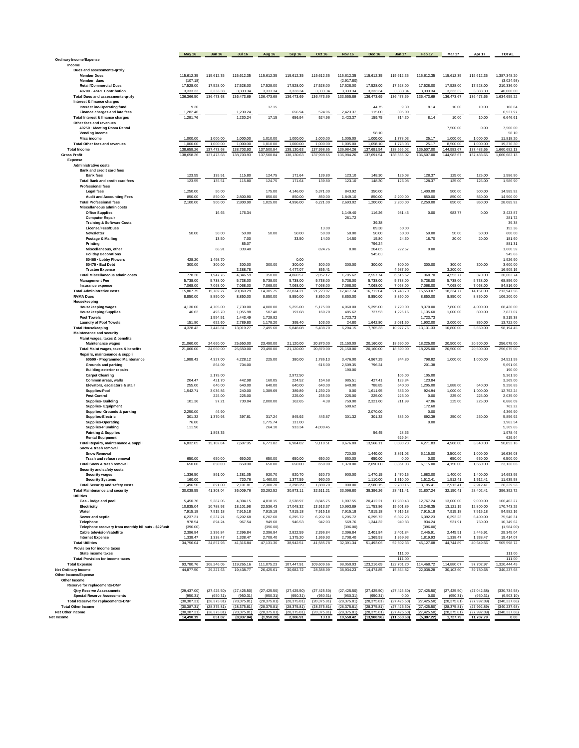|                                                                                 | <b>May 16</b>            | <b>Jun 16</b>            | <b>Jul 16</b>            | Aug 16                   | Sep 16                   | <b>Oct 16</b>            | <b>Nov 16</b>            | <b>Dec 16</b>            | <b>Jan 17</b>         | Feb 17                | Mar 17                   | Apr 17                   | <b>TOTAL</b>                |
|---------------------------------------------------------------------------------|--------------------------|--------------------------|--------------------------|--------------------------|--------------------------|--------------------------|--------------------------|--------------------------|-----------------------|-----------------------|--------------------------|--------------------------|-----------------------------|
| Ordinary Income/Expense                                                         |                          |                          |                          |                          |                          |                          |                          |                          |                       |                       |                          |                          |                             |
| Income                                                                          |                          |                          |                          |                          |                          |                          |                          |                          |                       |                       |                          |                          |                             |
| Dues and assessments-qrtrly                                                     |                          |                          |                          |                          |                          |                          |                          |                          |                       |                       |                          |                          |                             |
| <b>Member Dues</b><br>Member dues                                               | 115,612.35<br>(107.18)   | 115,612.35               | 115,612.35               | 115,612.35               | 115,612.35               | 115,612.35               | 115,612.35<br>(2.917.80) | 115,612.35               | 115,612.35            | 115,612.35            | 115,612.35               | 115,612.35               | 1,387,348.20<br>(3,024.98)  |
| <b>Retail/Commercial Dues</b>                                                   | 17,528.00                | 17,528.00                | 17,528.00                | 17,528.00                | 17,528.00                | 17,528.00                | 17,528.00                | 17,528.00                | 17,528.00             | 17,528.00             | 17,528.00                | 17,528.00                | 210,336.00                  |
| 40700 - ASRL Contribution                                                       | 3,333.33                 | 3,333.33                 | 3,333.34                 | 3,333.34                 | 3,333.34                 | 3,333.34                 | 3,333.34                 | 3,333.34                 | 3,333.34              | 3,333.34              | 3,333.32                 | 3,333.30                 | 40,000.00                   |
| <b>Total Dues and assessments-grtrly</b>                                        | 136,366.50               | 136,473.68               | 136,473.69               | 136,473.69               | 136,473.69               | 136,473.69               | 133,555.89               | 136,473.69               | 136,473.69            | 136,473.69            | 136,473.67               | 136,473.65               | 1,634,659.22                |
| Interest & finance charges                                                      |                          |                          |                          |                          |                          |                          |                          |                          |                       |                       |                          |                          |                             |
| <b>Interest inc-Operating fund</b><br>Finance charges and late fees             | 9.30<br>1,282.46         |                          | 1,230.24                 | 17.15                    | 656.94                   | 524.96                   | 2,423.37                 | 44.75<br>115.00          | 9.30<br>305.00        | 8.14                  | 10.00                    | 10.00                    | 108.64<br>6,537.97          |
| Total Interest & finance charges                                                | 1,291.76                 |                          | 1,230.24                 | 17.15                    | 656.94                   | 524.96                   | 2,423.37                 | 159.75                   | 314.30                | 8.14                  | 10.00                    | 10.00                    | 6,646.61                    |
| Other fees and revenues                                                         |                          |                          |                          |                          |                          |                          |                          |                          |                       |                       |                          |                          |                             |
| 49250 - Meeting Room Rental                                                     |                          |                          |                          |                          |                          |                          |                          |                          |                       |                       | 7,500.00                 | 0.00                     | 7,500.00                    |
| Vending income                                                                  | 1.000.00                 | 1.000.00                 | 1.000.00                 | 1.010.00                 | 1.000.00                 | 1.000.00                 | 1.005.00                 | 58.10<br>1,000.00        | 1.778.03              | 25.17                 | 1.000.00                 | 1.000.00                 | 58.10<br>11,818.20          |
| Misc income<br><b>Total Other fees and revenues</b>                             | 1,000.00                 | 1,000.00                 | 1,000.00                 | 1,010.00                 | 1,000.00                 | 1,000.00                 | 1,005.00                 | 1,058.10                 | 1,778.03              | 25.17                 | 8,500.00                 | 1,000.00                 | 19,376.30                   |
| <b>Total Income</b>                                                             | 138,658.26               | 137,473.68               | 138,703.93               | 137,500.84               | 138,130.63               | 137,998.65               | 136,984.26               | 137,691.54               | 138,566.02            | 136,507.00            | 144,983.67               | 137,483.65               | 1,660,682.13                |
| <b>Gross Profit</b>                                                             | 138,658.26               | 137,473.68               | 138,703.93               | 137,500.84               | 138,130.63               | 137,998.65               | 136,984.26               | 137,691.54               | 138,566.02            | 136,507.00            | 144,983.67               | 137,483.65               | 1,660,682.13                |
| Expense                                                                         |                          |                          |                          |                          |                          |                          |                          |                          |                       |                       |                          |                          |                             |
| <b>Administrative costs</b><br>Bank and credit card fees                        |                          |                          |                          |                          |                          |                          |                          |                          |                       |                       |                          |                          |                             |
| <b>Bank fees</b>                                                                | 123.55                   | 135.51                   | 115.80                   | 124.75                   | 171.64                   | 139.80                   | 123.10                   | 148.30                   | 126.08                | 128.37                | 125.00                   | 125.00                   | 1,586.90                    |
| <b>Total Bank and credit card fees</b>                                          | 123.55                   | 135.51                   | 115.80                   | 124.75                   | 171.64                   | 139.80                   | 123.10                   | 148.30                   | 126.08                | 128.37                | 125.00                   | 125.00                   | 1,586.90                    |
| <b>Professional fees</b>                                                        |                          |                          |                          |                          |                          |                          |                          |                          |                       |                       |                          |                          |                             |
| Legal fees                                                                      | 1,250.00<br>850.00       | 50.00<br>850.00          | 2,800.90                 | 175.00<br>850.00         | 4,146.00<br>850.00       | 5,371.00<br>850.00       | 843.92<br>1,849.10       | 350.00<br>850.00         | 2,200.00              | 1,400.00<br>850.00    | 500.00<br>850.00         | 500.00<br>850.00         | 14,585.92<br>14,500.00      |
| <b>Audit and Accounting Fees</b><br><b>Total Professional fees</b>              | 2,100.00                 | 900.00                   | 2,800.90                 | 1,025.00                 | 4,996.00                 | 6,221.00                 | 2,693.02                 | 1,200.00                 | 2,200.00              | 2,250.00              | 850.00                   | 850.00                   | 28,085.92                   |
| Miscellaneous admin costs                                                       |                          |                          |                          |                          |                          |                          |                          |                          |                       |                       |                          |                          |                             |
| <b>Office Supplies</b>                                                          |                          | 16.65                    | 176.34                   |                          |                          |                          | 1,149.40                 | 116.26                   | 981.45                | 0.00                  | 983.77                   | 0.00                     | 3,423.87                    |
| <b>Computer Repair</b>                                                          |                          |                          |                          |                          |                          |                          | 281.72                   | 39.38                    |                       |                       |                          |                          | 281.72<br>39.38             |
| <b>Training &amp; Software Costs</b><br>License/Fees/Dues                       |                          |                          |                          |                          |                          | 13.00                    |                          | 89.38                    | 50.00                 |                       |                          |                          | 152.38                      |
| Newsletter                                                                      | 50.00                    | 50.00                    | 50.00                    | 50.00                    | 50.00                    | 50.00                    | 50.00                    | 50.00                    | 50.00                 | 50.00                 | 50.00                    | 50.00                    | 600.00                      |
| Postage & Mailing                                                               |                          | 13.50                    | 7.00                     |                          | 33.50                    | 14.00                    | 14.50                    | 15.80                    | 24.60                 | 18.70                 | 20.00                    | 20.00                    | 181.60                      |
| Printing                                                                        |                          |                          | 85.07                    |                          |                          |                          | 0.00                     | 796.24<br>204.85         | 222.67                |                       |                          |                          | 881.31<br>1.660.59          |
| Miscellaneous, other<br><b>Holiday Decorations</b>                              |                          | 68.91                    | 339.40                   |                          |                          | 824.76                   |                          | 945.83                   |                       | 0.00                  |                          |                          | 945.83                      |
| 50465 - Lobby Flowers                                                           | 428.20                   | 1,498.70                 |                          |                          | 0.00                     |                          |                          |                          |                       |                       |                          |                          | 1,926.90                    |
| 50475 - Bad Debt                                                                | 300.00                   | 300.00                   | 300.00                   | 300.00                   | 300.00                   | 300.00                   | 300.00                   | 300.00                   | 300.00                | 300.00                | 300.00                   | 300.00                   | 3,600.00                    |
| <b>Trustee Expense</b>                                                          |                          |                          | 3,388.78                 |                          | 4,477.07                 | 855.41                   |                          |                          | 4,987.90              |                       | 3,200.00                 |                          | 16,909.16                   |
| <b>Total Miscellaneous admin costs</b><br><b>Management Fee</b>                 | 778.20<br>5,738.00       | 1,947.76<br>5,738.00     | 4,346.59<br>5,738.00     | 350.00<br>5,738.00       | 4,860.57<br>5,738.00     | 2,057.17<br>5,738.00     | 1,795.62<br>5,738.00     | 2,557.74<br>5,738.00     | 6,616.62<br>5,738.00  | 368.70<br>5,738.00    | 4,553.77<br>5,738.00     | 370.00<br>5,738.00       | 30,602.74<br>68,856.00      |
| Insurance expense                                                               | 7,068.00                 | 7,068.00                 | 7,068.00                 | 7,068.00                 | 7,068.00                 | 7,068.00                 | 7,068.00                 | 7,068.00                 | 7,068.00              | 7,068.00              | 7,068.00                 | 7,068.00                 | 84.816.00                   |
| <b>Total Administrative costs</b>                                               | 15,807.75                | 15,789.27                | 20,069.29                | 14,305.75                | 22,834.21                | 21,223.97                | 17,417.74                | 16,712.04                | 21,748.70             | 15,553.07             | 18,334.77                | 14,151.00                | 213,947.56                  |
| <b>RVMA Dues</b>                                                                | 8,850.00                 | 8,850.00                 | 8,850.00                 | 8,850.00                 | 8,850.00                 | 8,850.00                 | 8,850.00                 | 8,850.00                 | 8,850.00              | 8,850.00              | 8,850.00                 | 8,850.00                 | 106,200.00                  |
| Housekeeping<br>Housekeeping wages                                              | 4.130.00                 | 4.705.00                 | 7.730.00                 | 4,080.00                 | 5,255.00                 | 5.175.00                 | 4.060.00                 | 5.395.00                 | 7.720.00              | 8,370.00              | 7,800.00                 | 4,000.00                 | 68,420.00                   |
| <b>Housekeeping Supplies</b>                                                    | 46.62                    | 493.70                   | 1,055.98                 | 507.48                   | 197.68                   | 160.70                   | 485.62                   | 727.53                   | 1,226.16              | 1,135.60              | 1,000.00                 | 800.00                   | 7,837.07                    |
| <b>Pool Towels</b>                                                              |                          | 1,594.51                 | 1,443.49                 | 1,729.92                 |                          |                          | 1,723.73                 |                          |                       | 1,723.73              |                          |                          | 8,215.38                    |
| <b>Laundry of Pool Towels</b>                                                   | 151.80                   | 652.60                   | 2,789.80                 | 1,178.20                 | 395.40                   | 103.00                   | 24.80                    | 1.642.80                 | 2.031.60              | 1,902.00              | 2.000.00                 | 850.00                   | 13,722.00                   |
| <b>Total Housekeeping</b>                                                       | 4.328.42                 | 7.445.81                 | 13,019.27                | 7.495.60                 | 5,848.08                 | 5.438.70                 | 6,294.15                 | 7.765.33                 | 10.977.76             | 13.131.33             | 10,800.00                | 5,650.00                 | 98.194.45                   |
| Maintenance and security<br>Maint wages, taxes & benefits                       |                          |                          |                          |                          |                          |                          |                          |                          |                       |                       |                          |                          |                             |
| Maintenance wages                                                               | 21,060.00                | 24,660.00                | 25,650.00                | 23,490.00                | 21,120.00                | 20,870.00                | 21,150.00                | 20,160.00                | 18,690.00             | 18,225.00             | 20,500.00                | 20,500.00                | 256,075.00                  |
| Total Maint wages, taxes & benefits                                             | 21,060.00                | 24,660.00                | 25,650.00                | 23,490.00                | 21,120.00                | 20,870.00                | 21,150.00                | 20,160.00                | 18,690.00             | 18,225.00             | 20,500.00                | 20,500.00                | 256,075.00                  |
| Repairs, maintenance & suppli                                                   | 1.988.43                 | 4.327.00                 | 4.228.12                 |                          | 380.00                   | 1.786.13                 | 3.476.00                 | 4.967.29                 | 344.80                | 798.82                | 1.000.00                 | 1.000.00                 | 24.521.59                   |
| 60500 - Programmed Maintenance<br><b>Grounds and parking</b>                    |                          | 864.09                   | 704.00                   | 225.00                   |                          | 616.00                   | 2,509.35                 | 796.24                   |                       | 201.38                |                          |                          | 5,691.06                    |
| <b>Building exterior repairs</b>                                                |                          |                          |                          |                          |                          |                          | 190.00                   |                          |                       |                       |                          |                          | 190.00                      |
| <b>Carpet Cleaning</b>                                                          |                          | 2,179.00                 |                          |                          | 2,972.50                 |                          |                          |                          | 105.00                | 105.00                |                          |                          | 5,361.50                    |
| Common areas, walls                                                             | 204.47                   | 421.70                   | 442.98                   | 160.05                   | 224.52                   | 154.68                   | 985.51                   | 427.41                   | 123.84                | 123.84                |                          |                          | 3,269.00                    |
| Elevators, escalators & stair<br>Supplies-Pool                                  | 255.00<br>1,542.71       | 640.00<br>3,036.86       | 640.00<br>240.00         | 640.00<br>1,389.69       | 640.00<br>389.89         | 640.00<br>1,230.20       | 640.00<br>0.00           | 788.85<br>1,611.95       | 640.00<br>386.00      | 1,205.00<br>924.94    | 1,888.00<br>1,000.00     | 640.00<br>1,000.00       | 9,256.85<br>12.752.24       |
| <b>Pest Control</b>                                                             |                          | 225.00                   | 225.00                   |                          | 225.00                   | 235.00                   | 225.00                   | 225.00                   | 225.00                | 0.00                  | 225.00                   | 225.00                   | 2,035.00                    |
| <b>Supplies-Building</b>                                                        | 101.36                   | 97.21                    | 730.04                   | 2,000.00                 | 162.65                   | 4.38                     | 759.00                   | 2,321.60                 | 211.99                | 47.86                 | 225.00                   | 225.00                   | 6,886.09                    |
| <b>Supplies-Equipment</b>                                                       | 2,250.00                 | 46.90                    |                          |                          |                          |                          | 590.62                   | 2,070.00                 |                       | 172.60<br>0.00        |                          |                          | 763.22<br>4,366.90          |
| Supplies- Grounds & parking<br><b>Supplies-Electric</b>                         | 301.32                   | 1,370.93                 | 397.81                   | 317.24                   | 845.92                   | 443.67                   | 301.32                   | 301.32                   | 385.00                | 692.39                | 250.00                   | 250.00                   | 5,856.92                    |
| <b>Supplies-Operating</b>                                                       | 76.80                    |                          |                          | 1,775.74                 | 131.00                   |                          |                          |                          |                       | 0.00                  |                          |                          | 1,983.54                    |
| <b>Supplies-Plumbing</b>                                                        | 111.96                   |                          |                          | 264.10                   | 933.34                   | 4.000.45                 |                          |                          |                       |                       |                          |                          | 5,309.85                    |
| <b>Painting &amp; Supplies</b>                                                  |                          | 1,893.35                 |                          |                          |                          |                          |                          | 56.45                    | 28.66                 |                       |                          |                          | 1,978.46                    |
| <b>Rental Equipment</b><br>Total Repairs, maintenance & suppli                  | 6,832.05                 | 15,102.04                | 7,607.95                 | 6,771.82                 | 6,904.82                 | 9,110.51                 | 9,676.80                 | 13,566.11                | 629.94<br>3,080.23    | 4,271.83              | 4,588.00                 | 3,340.00                 | 629.94<br>90,852.16         |
| Snow & trash removal                                                            |                          |                          |                          |                          |                          |                          |                          |                          |                       |                       |                          |                          |                             |
| <b>Snow Removal</b>                                                             |                          |                          |                          |                          |                          |                          | 720.00                   | 1,440.00                 | 3,861.03              | 6,115.00              | 3,500.00                 | 1,000.00                 | 16,636.03                   |
| Trash and refuse removal<br><b>Total Snow &amp; trash removal</b>               | 650.00<br>650.00         | 650.00<br>650.00         | 650.00<br>650.00         | 650.00<br>650.00         | 650.00<br>650.00         | 650.00<br>650.00         | 650.00<br>1,370.00       | 650.00<br>2,090.00       | 0.00<br>3,861.03      | 0.00<br>6,115.00      | 650.00<br>4.150.00       | 650.00<br>1.650.00       | 6,500.00<br>23.136.03       |
| Security and safety costs                                                       |                          |                          |                          |                          |                          |                          |                          |                          |                       |                       |                          |                          |                             |
| <b>Security wages</b>                                                           | 1,336.50                 | 891.00                   | 1,381.05                 | 920.70                   | 920.70                   | 920.70                   | 900.00                   | 1,470.15                 | 1,470.15              | 1,683.00              | 1,400.00                 | 1,400.00                 | 14,693.95                   |
| <b>Security Systems</b>                                                         | 160.00                   |                          | 720.76                   | 1,460.00                 | 1,377.59                 | 960.00                   |                          | 1,110.00                 | 1,310.00              | 1,512.41              | 1.512.41                 | 1,512.41                 | 11,635.58                   |
| <b>Total Security and safety costs</b><br><b>Total Maintenance and security</b> | 1,496.50<br>30,038.55    | 891.00<br>41,303.04      | 2,101.81<br>36,009.76    | 2.380.70<br>33,292.52    | 2.298.29<br>30,973.11    | 1,880.70<br>32,511.21    | 900.00<br>33,096.80      | 2,580.15<br>38,396.26    | 2,780.15<br>28,411.41 | 3,195.41<br>31,807.24 | 2,912.41<br>32,150.41    | 2,912.41<br>28,402.41    | 26,329.53<br>396,392.72     |
| <b>Utilities</b>                                                                |                          |                          |                          |                          |                          |                          |                          |                          |                       |                       |                          |                          |                             |
| Gas - lodge and pool                                                            | 5,450.76                 | 5,287.06                 | 4,394.15                 | 4,818.15                 | 2.538.97                 | 8.845.75                 | 1,907.55                 | 20,412.21                | 17,980.43             | 12,767.24             | 13,000.00                | 9,000.00                 | 106,402.27                  |
| Electricity                                                                     | 10,835.04                | 10,788.93                | 18,101.98                | 22,536.43                | 17,048.32                | 13,913.37                | 10,993.89                | 11,753.86                | 15,601.89             | 13,248.35             | 13,121.19                | 12,800.00                | 170,743.25                  |
| Water<br>Sewer and septic                                                       | 7,915.18<br>6,237.21     | 7,915.18<br>6,237.21     | 7,915.18<br>6,202.68     | 7,915.18<br>6,202.68     | 7,915.18<br>6,295.72     | 7,915.18<br>6,202.68     | 7,915.18<br>6,295.72     | 7,915.18<br>6,295.72     | 7,915.18<br>6,392.23  | 7,915.18<br>6,392.23  | 7,915.18<br>6,392.23     | 7,915.18<br>6,400.00     | 94,982.16<br>75,546.31      |
| Telephone                                                                       | 978.54                   | 894.24                   | 967.54                   | 949.68                   | 946.53                   | 942.03                   | 569.76                   | 1,344.32                 | 940.83                | 934.24                | 531.91                   | 750.00                   | 10,749.62                   |
| Telephone recovery from monthly billouts - \$22/unit                            | (396.00)                 |                          |                          | (396.00)                 |                          |                          | (396.00)                 |                          |                       | (396.00)              |                          |                          | (1,584.00)                  |
| Cable television/satellite                                                      | 2.396.84                 | 2.396.84                 | 2.396.84                 | 2,396.84                 | 2.822.59                 | 2.396.84                 | 2.396.84                 | 2.401.84                 | 2.401.84              | 2,445.91              | 2.445.91                 | 2.445.91                 | 29,345.04                   |
| <b>Internet Expense</b><br><b>Total Utilities</b>                               | 1,338.47<br>34,756.04    | 1,338.47                 | 1,338.47<br>41,316.84    | 2,708.40                 | 1,375.20<br>38 942 51    | 1,369.93<br>41.585.78    | 2,708.40<br>32.391.34    | 1,369.93                 | 1,369.93<br>52.602.33 | 1,819.93              | 1,338.47<br>44 744 89    | 1,338.47                 | 19,414.07<br>505.598.72     |
| Provision for income taxes                                                      |                          | 34,857.93                |                          | 47,131.36                |                          |                          |                          | 51,493.06                |                       | 45,127.08             |                          | 40,649.56                |                             |
| State income taxes                                                              |                          |                          |                          |                          |                          |                          |                          |                          | 111.00                |                       |                          |                          | 111.00                      |
| <b>Total Provision for income taxes</b>                                         |                          |                          |                          |                          |                          |                          |                          |                          | 111.00                |                       |                          |                          | 111.00                      |
| <b>Total Expense</b>                                                            | 93,780.76                | 108 246 05               | 119,265.16               | 111.075.23               | 107 447 91               | 109.609.66               | 98,050.03                | 123,216.69               | 122,701.20            | 114,468.72            | 114,880.07               | 97,702.97                | 1,320,444.45                |
| Net Ordinary Income<br>Other Income/Expense                                     | 44,877.50                | 29,227.63                | 19,438.77                | 26,425.61                | 30.682.72                | 28.388.99                | 38,934.23                | 14,474.85                | 15,864.82             | 22.038.28             | 30,103.60                | 39,780.68                | 340,237.68                  |
| Other Income                                                                    |                          |                          |                          |                          |                          |                          |                          |                          |                       |                       |                          |                          |                             |
| Reserve for replacements-DNP                                                    |                          |                          |                          |                          |                          |                          |                          |                          |                       |                       |                          |                          |                             |
| <b>Qtrv Reserve Assessments</b>                                                 | (29, 437.00)             | (27.425.50)              | (27, 425.50)             | (27, 425.50)             | (27, 425.50)             | (27, 425.50)             | (27, 425.50)             | (27, 425.50)             | (27, 425.50)          | (27, 425.50)          | (27, 425.50)             | (27, 042.58)             | (330, 734.58)               |
| <b>Special Reserve Assessments</b><br><b>Total Reserve for replacements-DNP</b> | (950.31)<br>(30, 387.31) | (950.31)<br>(28, 375.81) | (950.31)<br>(28, 375.81) | (950.31)<br>(28, 375.81) | (950.31)<br>(28, 375.81) | (950.31)<br>(28, 375.81) | (950.31)<br>(28, 375.81) | (950.31)<br>(28, 375.81) | 0.00<br>(27, 425.50)  | 0.00<br>(27, 425.50)  | (950.31)<br>(28, 375.81) | (950.31)<br>(27, 992.89) | (9,503.10)<br>(340, 237.68) |
| <b>Total Other Income</b>                                                       | (30, 387.31)             | (28, 375.81)             | (28, 375.81)             | (28, 375.81)             | (28, 375.81)             | (28, 375.81)             | (28, 375.81)             | (28.375.81)              | (27, 425.50)          | (27, 425.50)          | (28, 375.81)             | (27, 992.89)             | (340, 237.68)               |
| Net Other Income                                                                | (30, 387.31)             | (28, 375.81)             | (28, 375.81)             | (28, 375.81)             | (28, 375.81)             | (28, 375.81)             | (28, 375.81)             | (28, 375.81)             | (27, 425.50)          | (27, 425.50)          | (28, 375.81)             | (27, 992.89)             | (340, 237.68)               |
| Net Income                                                                      | 14,490.19                | 851.82                   | (8,937.04)               | (1,950.20)               | 2,306.91                 | 13.18                    | 10,558.42                | (13,900.96)              | (11,560.68)           | (5,387.22)            | 1,727.79                 | 11,787.79                | 0.00                        |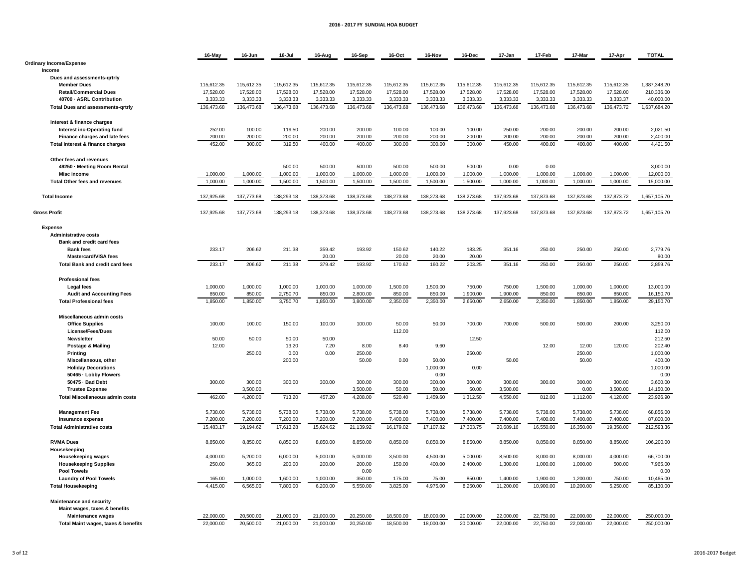#### **2016 - 2017 FY SUNDIAL HOA BUDGET**

|                                          | 16-May     | 16-Jun     | 16-Jul     | 16-Aug     | 16-Sep     | 16-Oct     | 16-Nov     | 16-Dec     | 17-Jan     | 17-Feb     | 17-Mar     | 17-Apr     | <b>TOTAL</b> |
|------------------------------------------|------------|------------|------------|------------|------------|------------|------------|------------|------------|------------|------------|------------|--------------|
| <b>Ordinary Income/Expense</b>           |            |            |            |            |            |            |            |            |            |            |            |            |              |
| Income                                   |            |            |            |            |            |            |            |            |            |            |            |            |              |
| Dues and assessments-grtrly              |            |            |            |            |            |            |            |            |            |            |            |            |              |
| <b>Member Dues</b>                       | 115,612.35 | 115,612.35 | 115,612.35 | 115,612.35 | 115,612.35 | 115,612.35 | 115,612.35 | 115,612.35 | 115,612.35 | 115,612.35 | 115,612.35 | 115,612.35 | 1,387,348.20 |
| <b>Retail/Commercial Dues</b>            | 17,528.00  | 17,528.00  | 17,528.00  | 17,528.00  | 17,528.00  | 17,528.00  | 17,528.00  | 17,528.00  | 17,528.00  | 17,528.00  | 17,528.00  | 17,528.00  | 210,336.00   |
| 40700 - ASRL Contribution                | 3,333.33   | 3,333.33   | 3,333.33   | 3,333.33   | 3,333.33   | 3,333.33   | 3.333.33   | 3,333.33   | 3,333.33   | 3,333.33   | 3.333.33   | 3,333.37   | 40,000.00    |
| <b>Total Dues and assessments-grtrly</b> | 136,473.68 | 136,473.68 | 136,473.68 | 136,473.68 | 136,473.68 | 136,473.68 | 136,473.68 | 136,473.68 | 136,473.68 | 136,473.68 | 136,473.68 | 136,473.72 | 1,637,684.20 |
|                                          |            |            |            |            |            |            |            |            |            |            |            |            |              |
| Interest & finance charges               |            |            |            |            |            |            |            |            |            |            |            |            |              |
| Interest inc-Operating fund              | 252.00     | 100.00     | 119.50     | 200.00     | 200.00     | 100.00     | 100.00     | 100.00     | 250.00     | 200.00     | 200.00     | 200.00     | 2,021.50     |
| Finance charges and late fees            | 200.00     | 200.00     | 200.00     | 200.00     | 200.00     | 200.00     | 200.00     | 200.00     | 200.00     | 200.00     | 200.00     | 200.00     | 2,400.00     |
| Total Interest & finance charges         | 452.00     | 300.00     | 319.50     | 400.00     | 400.00     | 300.00     | 300.00     | 300.00     | 450.00     | 400.00     | 400.00     | 400.00     | 4,421.50     |
|                                          |            |            |            |            |            |            |            |            |            |            |            |            |              |
| Other fees and revenues                  |            |            |            |            |            |            |            |            |            |            |            |            |              |
| 49250 · Meeting Room Rental              |            |            | 500.00     | 500.00     | 500.00     | 500.00     | 500.00     | 500.00     | 0.00       | 0.00       |            |            | 3,000.00     |
| <b>Misc income</b>                       | 1,000.00   | 1,000.00   | 1,000.00   | 1,000.00   | 1,000.00   | 1,000.00   | 1,000.00   | 1,000.00   | 1,000.00   | 1,000.00   | 1,000.00   | 1,000.00   | 12,000.00    |
| Total Other fees and revenues            | 1,000.00   | 1,000.00   | 1,500.00   | 1,500.00   | 1,500.00   | 1,500.00   | 1,500.00   | 1,500.00   | 1,000.00   | 1,000.00   | 1,000.00   | 1,000.00   | 15,000.00    |
| <b>Total Income</b>                      | 137,925.68 | 137,773.68 | 138,293.18 | 138,373.68 | 138,373.68 | 138,273.68 | 138,273.68 | 138,273.68 | 137,923.68 | 137,873.68 | 137,873.68 | 137,873.72 | 1,657,105.70 |
|                                          |            |            |            |            |            |            |            |            |            |            |            |            |              |
| <b>Gross Profit</b>                      | 137,925.68 | 137,773.68 | 138,293.18 | 138,373.68 | 138,373.68 | 138,273.68 | 138,273.68 | 138,273.68 | 137,923.68 | 137,873.68 | 137,873.68 | 137,873.72 | 1,657,105.70 |
| Expense                                  |            |            |            |            |            |            |            |            |            |            |            |            |              |
| <b>Administrative costs</b>              |            |            |            |            |            |            |            |            |            |            |            |            |              |
| Bank and credit card fees                |            |            |            |            |            |            |            |            |            |            |            |            |              |
| <b>Bank fees</b>                         | 233.17     | 206.62     | 211.38     | 359.42     | 193.92     | 150.62     | 140.22     | 183.25     | 351.16     | 250.00     | 250.00     | 250.00     | 2,779.76     |
| <b>Mastercard/VISA fees</b>              |            |            |            | 20.00      |            | 20.00      | 20.00      | 20.00      |            |            |            |            | 80.00        |
| <b>Total Bank and credit card fees</b>   | 233.17     | 206.62     | 211.38     | 379.42     | 193.92     | 170.62     | 160.22     | 203.25     | 351.16     | 250.00     | 250.00     | 250.00     | 2,859.76     |
|                                          |            |            |            |            |            |            |            |            |            |            |            |            |              |
| <b>Professional fees</b>                 |            |            |            |            |            |            |            |            |            |            |            |            |              |
| <b>Legal fees</b>                        | 1,000.00   | 1,000.00   | 1,000.00   | 1,000.00   | 1,000.00   | 1,500.00   | 1,500.00   | 750.00     | 750.00     | 1,500.00   | 1,000.00   | 1,000.00   | 13,000.00    |
| <b>Audit and Accounting Fees</b>         | 850.00     | 850.00     | 2,750.70   | 850.00     | 2,800.00   | 850.00     | 850.00     | 1,900.00   | 1,900.00   | 850.00     | 850.00     | 850.00     | 16,150.70    |
| <b>Total Professional fees</b>           | 1,850.00   | 1,850.00   | 3,750.70   | 1,850.00   | 3,800.00   | 2,350.00   | 2,350.00   | 2,650.00   | 2,650.00   | 2,350.00   | 1,850.00   | 1,850.00   | 29,150.70    |
|                                          |            |            |            |            |            |            |            |            |            |            |            |            |              |
| Miscellaneous admin costs                |            |            |            |            |            |            |            |            |            |            |            |            |              |
| <b>Office Supplies</b>                   | 100.00     | 100.00     | 150.00     | 100.00     | 100.00     | 50.00      | 50.00      | 700.00     | 700.00     | 500.00     | 500.00     | 200.00     | 3,250.00     |
| <b>License/Fees/Dues</b>                 |            |            |            |            |            | 112.00     |            |            |            |            |            |            | 112.00       |
| <b>Newsletter</b>                        | 50.00      | 50.00      | 50.00      | 50.00      |            |            |            | 12.50      |            |            |            |            | 212.50       |
| Postage & Mailing                        | 12.00      |            | 13.20      | 7.20       | 8.00       | 8.40       | 9.60       |            |            | 12.00      | 12.00      | 120.00     | 202.40       |
| <b>Printing</b>                          |            | 250.00     | 0.00       | 0.00       | 250.00     |            |            | 250.00     |            |            | 250.00     |            | 1,000.00     |
| Miscellaneous, other                     |            |            | 200.00     |            | 50.00      | 0.00       | 50.00      |            | 50.00      |            | 50.00      |            | 400.00       |
| <b>Holiday Decorations</b>               |            |            |            |            |            |            | 1,000.00   | 0.00       |            |            |            |            | 1,000.00     |
| 50465 - Lobby Flowers                    |            |            |            |            |            |            | 0.00       |            |            |            |            |            | 0.00         |
| 50475 · Bad Debt                         | 300.00     | 300.00     | 300.00     | 300.00     | 300.00     | 300.00     | 300.00     | 300.00     | 300.00     | 300.00     | 300.00     | 300.00     | 3,600.00     |
| <b>Trustee Expense</b>                   |            | 3.500.00   |            |            | 3.500.00   | 50.00      | 50.00      | 50.00      | 3.500.00   |            | 0.00       | 3.500.00   | 14.150.00    |
| <b>Total Miscellaneous admin costs</b>   | 462.00     | 4,200.00   | 713.20     | 457.20     | 4,208.00   | 520.40     | 1,459.60   | 1,312.50   | 4,550.00   | 812.00     | 1,112.00   | 4,120.00   | 23,926.90    |
| <b>Management Fee</b>                    | 5,738.00   | 5,738.00   | 5,738.00   | 5,738.00   | 5,738.00   | 5,738.00   | 5,738.00   | 5,738.00   | 5,738.00   | 5,738.00   | 5,738.00   | 5,738.00   | 68,856.00    |
| Insurance expense                        | 7,200.00   | 7,200.00   | 7,200.00   | 7,200.00   | 7,200.00   | 7,400.00   | 7,400.00   | 7,400.00   | 7,400.00   | 7,400.00   | 7,400.00   | 7,400.00   | 87,800.00    |
| <b>Total Administrative costs</b>        | 15,483.17  | 19,194.62  | 17,613.28  | 15,624.62  | 21,139.92  | 16,179.02  | 17,107.82  | 17,303.75  | 20,689.16  | 16,550.00  | 16,350.00  | 19,358.00  | 212,593.36   |
|                                          |            |            |            |            |            |            |            |            |            |            |            |            |              |
| <b>RVMA Dues</b>                         | 8,850.00   | 8,850.00   | 8,850.00   | 8,850.00   | 8,850.00   | 8,850.00   | 8,850.00   | 8,850.00   | 8,850.00   | 8,850.00   | 8,850.00   | 8,850.00   | 106,200.00   |
| Housekeeping                             |            |            |            |            |            |            |            |            |            |            |            |            |              |
| <b>Housekeeping wages</b>                | 4,000.00   | 5,200.00   | 6,000.00   | 5,000.00   | 5,000.00   | 3,500.00   | 4,500.00   | 5,000.00   | 8,500.00   | 8,000.00   | 8,000.00   | 4,000.00   | 66,700.00    |
| <b>Housekeeping Supplies</b>             | 250.00     | 365.00     | 200.00     | 200.00     | 200.00     | 150.00     | 400.00     | 2,400.00   | 1,300.00   | 1,000.00   | 1,000.00   | 500.00     | 7,965.00     |
| <b>Pool Towels</b>                       |            |            |            |            | 0.00       |            |            |            |            |            |            |            | 0.00         |
| <b>Laundry of Pool Towels</b>            | 165.00     | 1.000.00   | 1.600.00   | 1.000.00   | 350.00     | 175.00     | 75.00      | 850.00     | 1.400.00   | 1.900.00   | 1.200.00   | 750.00     | 10.465.00    |
| <b>Total Housekeeping</b>                | 4,415.00   | 6,565.00   | 7,800.00   | 6,200.00   | 5,550.00   | 3,825.00   | 4,975.00   | 8,250.00   | 11,200.00  | 10,900.00  | 10,200.00  | 5,250.00   | 85,130.00    |
| <b>Maintenance and security</b>          |            |            |            |            |            |            |            |            |            |            |            |            |              |
| Maint wages, taxes & benefits            |            |            |            |            |            |            |            |            |            |            |            |            |              |
| <b>Maintenance wages</b>                 | 22,000.00  | 20,500.00  | 21,000.00  | 21,000.00  | 20,250.00  | 18,500.00  | 18,000.00  | 20,000.00  | 22,000.00  | 22,750.00  | 22,000.00  | 22,000.00  | 250,000.00   |
| Total Maint wages, taxes & benefits      | 22,000.00  | 20,500.00  | 21,000.00  | 21,000.00  | 20,250,00  | 18,500.00  | 18,000.00  | 20,000.00  | 22.000.00  | 22,750.00  | 22,000.00  | 22,000.00  | 250,000.00   |
|                                          |            |            |            |            |            |            |            |            |            |            |            |            |              |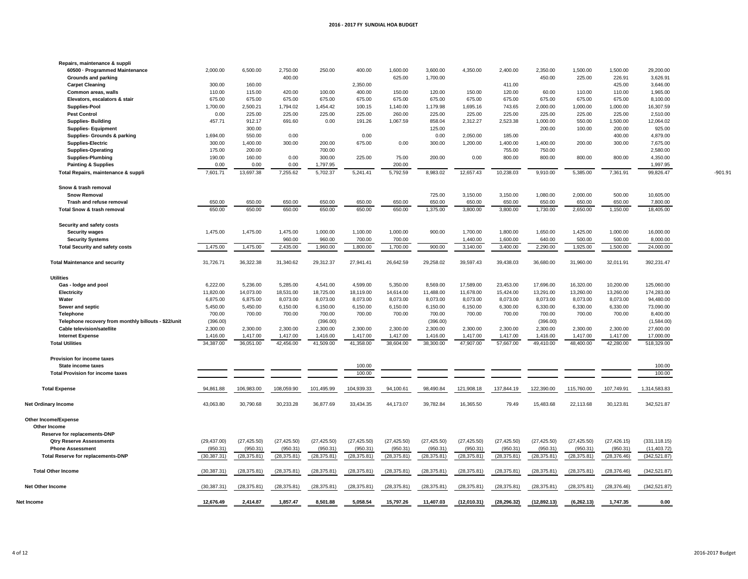| Repairs, maintenance & suppli                        |              |              |              |              |              |              |              |              |              |              |              |              |               |           |
|------------------------------------------------------|--------------|--------------|--------------|--------------|--------------|--------------|--------------|--------------|--------------|--------------|--------------|--------------|---------------|-----------|
| 60500 - Programmed Maintenance                       | 2,000.00     | 6,500.00     | 2,750.00     | 250.00       | 400.00       | 1,600.00     | 3,600.00     | 4,350.00     | 2,400.00     | 2,350.00     | 1,500.00     | 1,500.00     | 29,200.00     |           |
| Grounds and parking                                  |              |              | 400.00       |              |              | 625.00       | 1,700.00     |              |              | 450.00       | 225.00       | 226.91       | 3,626.91      |           |
| <b>Carpet Cleaning</b>                               | 300.00       | 160.00       |              |              | 2,350.00     |              |              |              | 411.00       |              |              | 425.00       | 3,646.00      |           |
| Common areas, walls                                  | 110.00       | 115.00       | 420.00       | 100.00       | 400.00       | 150.00       | 120.00       | 150.00       | 120.00       | 60.00        | 110.00       | 110.00       | 1,965.00      |           |
| Elevators, escalators & stair                        | 675.00       | 675.00       | 675.00       | 675.00       | 675.00       | 675.00       | 675.00       | 675.00       | 675.00       | 675.00       | 675.00       | 675.00       | 8,100.00      |           |
| <b>Supplies-Pool</b>                                 | 1,700.00     | 2,500.21     | 1,794.02     | 1,454.42     | 100.15       | 1,140.00     | 1,179.98     | 1,695.16     | 743.65       | 2,000.00     | 1,000.00     | 1,000.00     | 16,307.59     |           |
| <b>Pest Control</b>                                  | 0.00         | 225.00       | 225.00       | 225.00       | 225.00       | 260.00       | 225.00       | 225.00       | 225.00       | 225.00       | 225.00       | 225.00       | 2,510.00      |           |
| <b>Supplies-Building</b>                             | 457.71       | 912.17       | 691.60       | 0.00         | 191.26       | 1,067.59     | 858.04       | 2,312.27     | 2,523.38     | 1,000.00     | 550.00       | 1,500.00     | 12,064.02     |           |
| <b>Supplies-Equipment</b>                            |              | 300.00       |              |              |              |              | 125.00       |              |              | 200.00       | 100.00       | 200.00       | 925.00        |           |
|                                                      |              |              |              |              |              |              |              |              |              |              |              |              |               |           |
| Supplies- Grounds & parking                          | 1,694.00     | 550.00       | 0.00         |              | 0.00         |              | 0.00         | 2,050.00     | 185.00       |              |              | 400.00       | 4,879.00      |           |
| <b>Supplies-Electric</b>                             | 300.00       | 1.400.00     | 300.00       | 200.00       | 675.00       | 0.00         | 300.00       | 1,200.00     | 1.400.00     | 1,400.00     | 200.00       | 300.00       | 7,675.00      |           |
| <b>Supplies-Operating</b>                            | 175.00       | 200.00       |              | 700.00       |              |              |              |              | 755.00       | 750.00       |              |              | 2,580.00      |           |
| <b>Supplies-Plumbing</b>                             | 190.00       | 160.00       | 0.00         | 300.00       | 225.00       | 75.00        | 200.00       | 0.00         | 800.00       | 800.00       | 800.00       | 800.00       | 4,350.00      |           |
| <b>Painting &amp; Supplies</b>                       | 0.00         | 0.00         | 0.00         | 1,797.95     |              | 200.00       |              |              |              |              |              |              | 1,997.95      |           |
| Total Repairs, maintenance & suppli                  | 7,601.71     | 13,697.38    | 7,255.62     | 5,702.37     | 5.241.41     | 5.792.59     | 8.983.02     | 12.657.43    | 10.238.03    | 9.910.00     | 5.385.00     | 7,361.91     | 99,826.47     | $-901.91$ |
| Snow & trash removal                                 |              |              |              |              |              |              |              |              |              |              |              |              |               |           |
| <b>Snow Removal</b>                                  |              |              |              |              |              |              | 725.00       | 3.150.00     | 3.150.00     | 1.080.00     | 2.000.00     | 500.00       | 10.605.00     |           |
| Trash and refuse removal                             | 650.00       | 650.00       | 650.00       | 650.00       | 650.00       | 650.00       | 650.00       | 650.00       | 650.00       | 650.00       | 650.00       | 650.00       | 7,800.00      |           |
|                                                      |              |              |              |              |              |              |              |              |              |              |              |              |               |           |
| Total Snow & trash removal                           | 650.00       | 650.00       | 650.00       | 650.00       | 650.00       | 650.00       | 1,375.00     | 3,800.00     | 3,800.00     | 1,730.00     | 2,650.00     | 1,150.00     | 18,405.00     |           |
| Security and safety costs                            |              |              |              |              |              |              |              |              |              |              |              |              |               |           |
| <b>Security wages</b>                                | 1,475.00     | 1,475.00     | 1,475.00     | 1,000.00     | 1,100.00     | 1,000.00     | 900.00       | 1,700.00     | 1,800.00     | 1,650.00     | 1,425.00     | 1,000.00     | 16,000.00     |           |
| <b>Security Systems</b>                              |              |              | 960.00       | 960.00       | 700.00       | 700.00       |              | 1,440.00     | 1,600.00     | 640.00       | 500.00       | 500.00       | 8,000.00      |           |
| <b>Total Security and safety costs</b>               | 1,475.00     | 1,475.00     | 2,435.00     | 1,960.00     | 1,800.00     | 1,700.00     | 900.00       | 3,140.00     | 3,400.00     | 2,290.00     | 1,925.00     | 1,500.00     | 24,000.00     |           |
| <b>Total Maintenance and security</b>                | 31,726.71    | 36,322.38    | 31,340.62    | 29,312.37    | 27,941.41    | 26,642.59    | 29,258.02    | 39,597.43    | 39,438.03    | 36,680.00    | 31,960.00    | 32,011.91    | 392,231.47    |           |
| <b>Utilities</b>                                     |              |              |              |              |              |              |              |              |              |              |              |              |               |           |
| Gas - lodge and pool                                 | 6,222.00     | 5,236.00     | 5,285.00     | 4,541.00     | 4,599.00     | 5,350.00     | 8,569.00     | 17,589.00    | 23,453.00    | 17,696.00    | 16,320.00    | 10,200.00    | 125,060.00    |           |
| Electricity                                          | 11,820.00    | 14,073.00    | 18,531.00    | 18,725.00    | 18,119.00    | 14,614.00    | 11,488.00    | 11,678.00    | 15,424.00    | 13,291.00    | 13,260.00    | 13,260.00    | 174,283.00    |           |
| Water                                                | 6,875.00     | 6,875.00     | 8,073.00     | 8,073.00     | 8,073.00     | 8,073.00     | 8,073.00     | 8,073.00     | 8,073.00     | 8,073.00     | 8,073.00     | 8,073.00     | 94,480.00     |           |
|                                                      | 5,450.00     | 5,450.00     | 6,150.00     | 6,150.00     |              | 6,150.00     |              |              | 6,300.00     | 6,330.00     | 6,330.00     | 6,330.00     |               |           |
| Sewer and septic                                     |              |              |              |              | 6,150.00     |              | 6,150.00     | 6,150.00     |              |              |              |              | 73,090.00     |           |
| Telephone                                            | 700.00       | 700.00       | 700.00       | 700.00       | 700.00       | 700.00       | 700.00       | 700.00       | 700.00       | 700.00       | 700.00       | 700.00       | 8,400.00      |           |
| Telephone recovery from monthly billouts - \$22/unit | (396.00)     |              |              | (396.00)     |              |              | (396.00)     |              |              | (396.00)     |              |              | (1,584.00)    |           |
| Cable television/satellite                           | 2,300.00     | 2,300.00     | 2,300.00     | 2,300.00     | 2,300.00     | 2,300.00     | 2,300.00     | 2,300.00     | 2,300.00     | 2,300.00     | 2,300.00     | 2,300.00     | 27,600.00     |           |
| <b>Internet Expense</b>                              | 1,416.00     | 1,417.00     | 1,417.00     | 1,416.00     | 1,417.00     | 1,417.00     | 1,416.00     | 1,417.00     | 1,417.00     | 1,416.00     | 1,417.00     | 1,417.00     | 17,000.00     |           |
| <b>Total Utilities</b>                               | 34,387.00    | 36,051.00    | 42,456.00    | 41,509.00    | 41,358.00    | 38,604.00    | 38,300.00    | 47,907.00    | 57,667.00    | 49,410.00    | 48,400.00    | 42,280.00    | 518,329.00    |           |
| Provision for income taxes                           |              |              |              |              |              |              |              |              |              |              |              |              |               |           |
| <b>State income taxes</b>                            |              |              |              |              | 100.00       |              |              |              |              |              |              |              | 100.00        |           |
| <b>Total Provision for income taxes</b>              |              |              |              |              | 100.00       |              |              |              |              |              |              |              | 100.00        |           |
|                                                      |              |              |              |              |              |              |              |              |              |              |              |              |               |           |
| <b>Total Expense</b>                                 | 94,861.88    | 106,983.00   | 108,059.90   | 101,495.99   | 104,939.33   | 94,100.61    | 98,490.84    | 121,908.18   | 137,844.19   | 122,390.00   | 115,760.00   | 107,749.91   | 1,314,583.83  |           |
| <b>Net Ordinary Income</b>                           | 43,063.80    | 30,790.68    | 30,233.28    | 36,877.69    | 33,434.35    | 44,173.07    | 39,782.84    | 16,365.50    | 79.49        | 15,483.68    | 22,113.68    | 30,123.81    | 342,521.87    |           |
| <b>Other Income/Expense</b>                          |              |              |              |              |              |              |              |              |              |              |              |              |               |           |
| Other Income                                         |              |              |              |              |              |              |              |              |              |              |              |              |               |           |
| Reserve for replacements-DNP                         |              |              |              |              |              |              |              |              |              |              |              |              |               |           |
| <b>Qtry Reserve Assessments</b>                      | (29, 437.00) | (27, 425.50) | (27, 425.50) | (27, 425.50) | (27, 425.50) | (27, 425.50) | (27, 425.50) | (27, 425.50) | (27, 425.50) | (27, 425.50) | (27, 425.50) | (27, 426.15) | (331, 118.15) |           |
| <b>Phone Assessment</b>                              | (950.31)     | (950.31)     | (950.31)     | (950.31)     | (950.31)     | (950.31)     | (950.31)     | (950.31)     | (950.31)     | (950.31)     | (950.31)     | (950.31)     | (11, 403.72)  |           |
| <b>Total Reserve for replacements-DNP</b>            | (30, 387.31) | (28, 375.81) | (28, 375.81) | (28, 375.81) | (28, 375.81) | (28, 375.81) | (28, 375.81) | (28, 375.81) | (28, 375.81) | (28, 375.81) | (28, 375.81) | (28, 376.46) | (342, 521.87) |           |
|                                                      |              |              |              |              |              |              |              |              |              |              |              |              |               |           |
| <b>Total Other Income</b>                            | (30, 387.31) | (28, 375.81) | (28, 375.81) | (28, 375.81) | (28, 375.81) | (28, 375.81) | (28, 375.81) | (28, 375.81) | (28, 375.81) | (28, 375.81) | (28, 375.81) | (28, 376.46) | (342, 521.87) |           |
| <b>Net Other Income</b>                              | (30, 387.31) | (28, 375.81) | (28, 375.81) | (28, 375.81) | (28, 375.81) | (28, 375.81) | (28, 375.81) | (28, 375.81) | (28, 375.81) | (28, 375.81) | (28, 375.81) | (28, 376.46) | (342, 521.87) |           |
| Net Income                                           | 12,676.49    | 2,414.87     | 1,857.47     | 8,501.88     | 5,058.54     | 15,797.26    | 11,407.03    | (12,010.31)  | (28, 296.32) | (12, 892.13) | (6, 262.13)  | 1,747.35     | 0.00          |           |
|                                                      |              |              |              |              |              |              |              |              |              |              |              |              |               |           |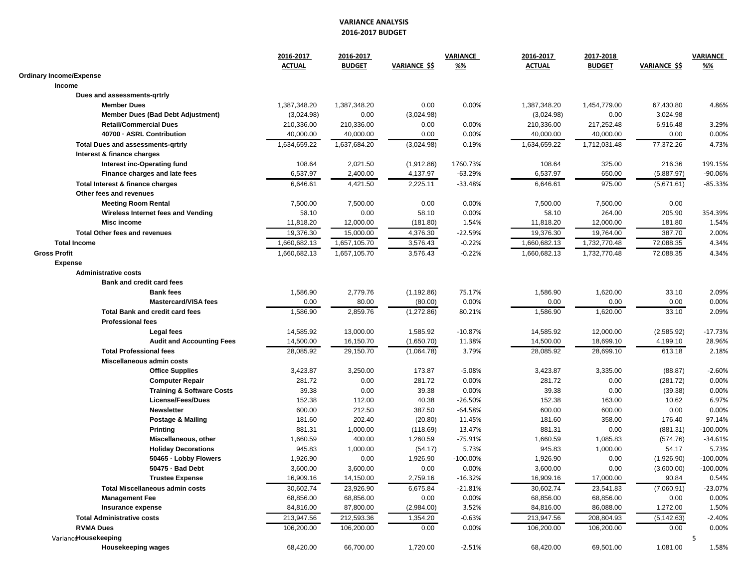#### **VARIANCE ANALYSIS 2016-2017 BUDGET**

|                                            | 2016-2017<br><b>ACTUAL</b> | 2016-2017<br><b>BUDGET</b> | <b>VARIANCE \$\$</b> | VARIANCE<br><u>%%</u>  | 2016-2017<br><b>ACTUAL</b> | 2017-2018<br><b>BUDGET</b> | <b>VARIANCE \$\$</b> | <b>VARIANCE</b><br><u>%%</u> |
|--------------------------------------------|----------------------------|----------------------------|----------------------|------------------------|----------------------------|----------------------------|----------------------|------------------------------|
| <b>Ordinary Income/Expense</b>             |                            |                            |                      |                        |                            |                            |                      |                              |
| Income                                     |                            |                            |                      |                        |                            |                            |                      |                              |
| Dues and assessments-grtrly                |                            |                            |                      |                        |                            |                            |                      |                              |
| <b>Member Dues</b>                         | 1,387,348.20               | 1,387,348.20               | 0.00                 | 0.00%                  | 1,387,348.20               | 1,454,779.00               | 67.430.80            | 4.86%                        |
| <b>Member Dues (Bad Debt Adjustment)</b>   | (3,024.98)                 | 0.00                       | (3,024.98)           |                        | (3,024.98)                 | 0.00                       | 3,024.98             |                              |
| <b>Retail/Commercial Dues</b>              | 210,336.00                 | 210,336.00                 | 0.00                 | 0.00%                  | 210,336.00                 | 217,252.48                 | 6,916.48             | 3.29%                        |
| 40700 - ASRL Contribution                  | 40,000.00                  | 40,000.00                  | 0.00                 | 0.00%                  | 40,000.00                  | 40,000.00                  | 0.00                 | 0.00%                        |
| <b>Total Dues and assessments-grtrly</b>   | 1,634,659.22               | 1,637,684.20               | (3,024.98)           | 0.19%                  | 1,634,659.22               | 1,712,031.48               | 77,372.26            | 4.73%                        |
| Interest & finance charges                 |                            |                            |                      |                        |                            |                            |                      |                              |
| Interest inc-Operating fund                | 108.64                     | 2,021.50                   | (1,912.86)           | 1760.73%               | 108.64                     | 325.00                     | 216.36               | 199.15%                      |
| Finance charges and late fees              | 6,537.97                   | 2,400.00                   | 4,137.97             | $-63.29%$              | 6,537.97                   | 650.00                     | (5,887.97)           | -90.06%                      |
| Total Interest & finance charges           | 6,646.61                   | 4,421.50                   | 2,225.11             | $-33.48%$              | 6,646.61                   | 975.00                     | (5,671.61)           | $-85.33%$                    |
| Other fees and revenues                    |                            |                            |                      |                        |                            |                            |                      |                              |
| <b>Meeting Room Rental</b>                 | 7,500.00                   | 7,500.00                   | 0.00                 | 0.00%                  | 7,500.00                   | 7,500.00                   | 0.00                 |                              |
| Wireless Internet fees and Vending         | 58.10                      | 0.00                       | 58.10                | 0.00%                  | 58.10                      | 264.00                     | 205.90               | 354.39%                      |
| Misc income                                | 11,818.20                  | 12,000.00                  | (181.80)             | 1.54%                  | 11,818.20                  | 12,000.00                  | 181.80               | 1.54%                        |
| <b>Total Other fees and revenues</b>       | 19,376.30                  | 15,000.00                  | 4,376.30             | $-22.59%$              | 19,376.30                  | 19,764.00                  | 387.70               | 2.00%                        |
| <b>Total Income</b>                        | 1,660,682.13               | 1,657,105.70               | 3,576.43             | $-0.22%$               | 1,660,682.13               | 1,732,770.48               | 72,088.35            | 4.34%                        |
| <b>Gross Profit</b>                        | 1,660,682.13               | 1,657,105.70               | 3,576.43             | $-0.22%$               | 1,660,682.13               | 1,732,770.48               | 72,088.35            | 4.34%                        |
| <b>Expense</b>                             |                            |                            |                      |                        |                            |                            |                      |                              |
| <b>Administrative costs</b>                |                            |                            |                      |                        |                            |                            |                      |                              |
| Bank and credit card fees                  |                            |                            |                      |                        |                            |                            |                      |                              |
| <b>Bank fees</b>                           | 1,586.90                   | 2,779.76                   | (1, 192.86)          | 75.17%                 | 1,586.90                   | 1,620.00                   | 33.10                | 2.09%                        |
| <b>Mastercard/VISA fees</b>                | 0.00                       | 80.00                      | (80.00)              | 0.00%                  | 0.00                       | 0.00                       | 0.00                 | 0.00%                        |
| <b>Total Bank and credit card fees</b>     | 1,586.90                   | 2,859.76                   | (1,272.86)           | 80.21%                 | 1,586.90                   | 1,620.00                   | 33.10                | 2.09%                        |
| <b>Professional fees</b>                   |                            |                            |                      |                        |                            |                            |                      |                              |
| Legal fees                                 | 14,585.92                  | 13,000.00                  | 1,585.92             | $-10.87%$              | 14,585.92                  | 12,000.00                  | (2,585.92)           | $-17.73%$                    |
| <b>Audit and Accounting Fees</b>           | 14,500.00                  | 16,150.70                  | (1,650.70)           | 11.38%                 | 14,500.00                  | 18,699.10                  | 4,199.10             | 28.96%                       |
|                                            | 28,085.92                  | 29,150.70                  |                      |                        | 28,085.92                  | 28,699.10                  |                      |                              |
| <b>Total Professional fees</b>             |                            |                            | (1,064.78)           | 3.79%                  |                            |                            | 613.18               | 2.18%                        |
| Miscellaneous admin costs                  |                            |                            |                      |                        |                            |                            |                      |                              |
| <b>Office Supplies</b>                     | 3,423.87                   | 3,250.00                   | 173.87               | $-5.08%$               | 3,423.87                   | 3,335.00                   | (88.87)              | $-2.60%$                     |
| <b>Computer Repair</b>                     | 281.72                     | 0.00                       | 281.72               | 0.00%                  | 281.72                     | 0.00                       | (281.72)             | 0.00%                        |
| <b>Training &amp; Software Costs</b>       | 39.38                      | 0.00                       | 39.38                | 0.00%                  | 39.38                      | 0.00                       | (39.38)              | 0.00%                        |
| <b>License/Fees/Dues</b>                   | 152.38                     | 112.00                     | 40.38                | $-26.50%$<br>$-64.58%$ | 152.38                     | 163.00                     | 10.62                | 6.97%                        |
| <b>Newsletter</b>                          | 600.00                     | 212.50                     | 387.50               |                        | 600.00                     | 600.00                     | 0.00                 | 0.00%                        |
| <b>Postage &amp; Mailing</b>               | 181.60                     | 202.40                     | (20.80)              | 11.45%                 | 181.60                     | 358.00                     | 176.40               | 97.14%                       |
| Printing                                   | 881.31                     | 1,000.00                   | (118.69)             | 13.47%                 | 881.31                     | 0.00                       | (881.31)             | $-100.00\%$                  |
| Miscellaneous, other                       | 1,660.59                   | 400.00                     | 1,260.59             | -75.91%                | 1,660.59                   | 1,085.83                   | (574.76)             | $-34.61%$                    |
| <b>Holiday Decorations</b>                 | 945.83                     | 1,000.00                   | (54.17)              | 5.73%                  | 945.83                     | 1,000.00                   | 54.17                | 5.73%                        |
| 50465 · Lobby Flowers                      | 1,926.90                   | 0.00                       | 1,926.90             | $-100.00\%$            | 1,926.90                   | 0.00                       | (1,926.90)           | $-100.00\%$                  |
| 50475 - Bad Debt<br><b>Trustee Expense</b> | 3,600.00                   | 3,600.00                   | 0.00<br>2,759.16     | 0.00%                  | 3,600.00                   | 0.00                       | (3,600.00)           | $-100.00\%$                  |
|                                            | 16,909.16                  | 14,150.00                  |                      | $-16.32%$              | 16,909.16                  | 17,000.00                  | 90.84                | 0.54%                        |
| <b>Total Miscellaneous admin costs</b>     | 30,602.74                  | 23,926.90                  | 6,675.84             | $-21.81%$              | 30,602.74                  | 23,541.83                  | (7,060.91)           | $-23.07%$                    |
| <b>Management Fee</b>                      | 68,856.00                  | 68,856.00                  | 0.00                 | 0.00%                  | 68,856.00                  | 68,856.00                  | 0.00                 | 0.00%                        |
| Insurance expense                          | 84,816.00                  | 87,800.00                  | (2,984.00)           | 3.52%                  | 84,816.00                  | 86,088.00                  | 1,272.00             | 1.50%                        |
| <b>Total Administrative costs</b>          | 213,947.56                 | 212,593.36                 | 1,354.20             | $-0.63%$               | 213,947.56                 | 208,804.93                 | (5, 142.63)          | $-2.40%$                     |
| <b>RVMA Dues</b>                           | 106,200.00                 | 106,200.00                 | 0.00                 | 0.00%                  | 106,200.00                 | 106,200.00                 | 0.00                 | 0.00%                        |
| VarianceHousekeeping<br>Housekeeping wages | 68,420.00                  | 66,700.00                  | 1,720.00             | $-2.51%$               | 68,420.00                  | 69,501.00                  | 1,081.00             | 5<br>1.58%                   |
|                                            |                            |                            |                      |                        |                            |                            |                      |                              |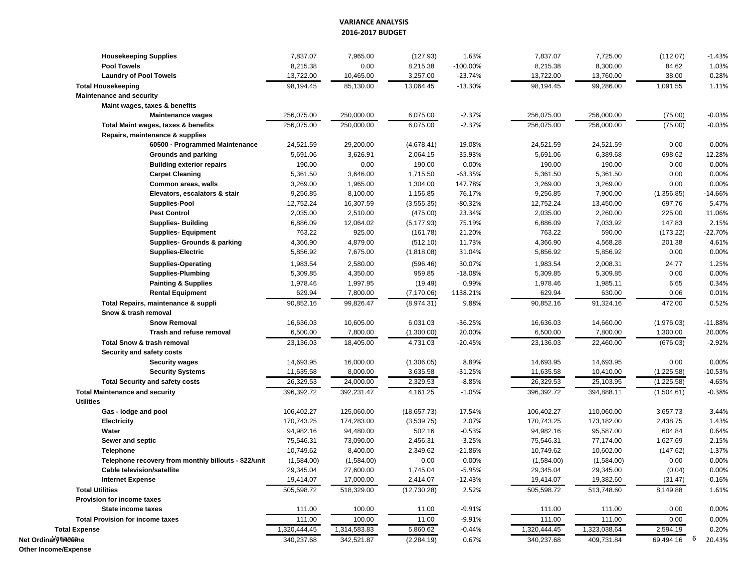#### **VARIANCE ANALYSIS 2016-2017 BUDGET**

| <b>Housekeeping Supplies</b>                         | 7,837.07     | 7,965.00     | (127.93)    | 1.63%       | 7,837.07     | 7,725.00     | (112.07)       | $-1.43%$  |
|------------------------------------------------------|--------------|--------------|-------------|-------------|--------------|--------------|----------------|-----------|
| <b>Pool Towels</b>                                   | 8,215.38     | 0.00         | 8,215.38    | $-100.00\%$ | 8,215.38     | 8,300.00     | 84.62          | 1.03%     |
| <b>Laundry of Pool Towels</b>                        | 13,722.00    | 10,465.00    | 3,257.00    | $-23.74%$   | 13,722.00    | 13,760.00    | 38.00          | 0.28%     |
| <b>Total Housekeeping</b>                            | 98,194.45    | 85,130.00    | 13,064.45   | $-13.30%$   | 98,194.45    | 99,286.00    | 1,091.55       | 1.11%     |
| <b>Maintenance and security</b>                      |              |              |             |             |              |              |                |           |
| Maint wages, taxes & benefits                        |              |              |             |             |              |              |                |           |
| <b>Maintenance wages</b>                             | 256,075.00   | 250,000.00   | 6,075.00    | $-2.37%$    | 256,075.00   | 256,000.00   | (75.00)        | $-0.03%$  |
| Total Maint wages, taxes & benefits                  | 256,075.00   | 250,000.00   | 6,075.00    | $-2.37%$    | 256,075.00   | 256,000.00   | (75.00)        | $-0.03%$  |
| Repairs, maintenance & supplies                      |              |              |             |             |              |              |                |           |
| 60500 · Programmed Maintenance                       | 24,521.59    | 29,200.00    | (4,678.41)  | 19.08%      | 24,521.59    | 24,521.59    | 0.00           | 0.00%     |
| <b>Grounds and parking</b>                           | 5,691.06     | 3,626.91     | 2,064.15    | -35.93%     | 5,691.06     | 6,389.68     | 698.62         | 12.28%    |
| <b>Building exterior repairs</b>                     | 190.00       | 0.00         | 190.00      | 0.00%       | 190.00       | 190.00       | 0.00           | 0.00%     |
| <b>Carpet Cleaning</b>                               | 5,361.50     | 3,646.00     | 1,715.50    | $-63.35%$   | 5,361.50     | 5,361.50     | 0.00           | 0.00%     |
| Common areas, walls                                  | 3,269.00     | 1,965.00     | 1,304.00    | 147.78%     | 3,269.00     | 3,269.00     | 0.00           | 0.00%     |
| Elevators, escalators & stair                        | 9,256.85     | 8,100.00     | 1,156.85    | 76.17%      | 9,256.85     | 7,900.00     | (1,356.85)     | $-14.66%$ |
| <b>Supplies-Pool</b>                                 | 12,752.24    | 16,307.59    | (3,555.35)  | -80.32%     | 12,752.24    | 13,450.00    | 697.76         | 5.47%     |
| <b>Pest Control</b>                                  | 2,035.00     | 2,510.00     | (475.00)    | 23.34%      | 2,035.00     | 2,260.00     | 225.00         | 11.06%    |
| <b>Supplies-Building</b>                             | 6,886.09     | 12,064.02    | (5, 177.93) | 75.19%      | 6,886.09     | 7,033.92     | 147.83         | 2.15%     |
| <b>Supplies-Equipment</b>                            | 763.22       | 925.00       | (161.78)    | 21.20%      | 763.22       | 590.00       | (173.22)       | $-22.70%$ |
| <b>Supplies- Grounds &amp; parking</b>               | 4,366.90     | 4,879.00     | (512.10)    | 11.73%      | 4,366.90     | 4,568.28     | 201.38         | 4.61%     |
| <b>Supplies-Electric</b>                             | 5,856.92     | 7,675.00     | (1,818.08)  | 31.04%      | 5,856.92     | 5,856.92     | 0.00           | 0.00%     |
| <b>Supplies-Operating</b>                            | 1,983.54     | 2,580.00     | (596.46)    | 30.07%      | 1,983.54     | 2,008.31     | 24.77          | 1.25%     |
| <b>Supplies-Plumbing</b>                             | 5,309.85     | 4,350.00     | 959.85      | $-18.08%$   | 5,309.85     | 5,309.85     | 0.00           | 0.00%     |
| <b>Painting &amp; Supplies</b>                       | 1,978.46     | 1,997.95     | (19.49)     | 0.99%       | 1,978.46     | 1,985.11     | 6.65           | 0.34%     |
| <b>Rental Equipment</b>                              | 629.94       | 7,800.00     | (7, 170.06) | 1138.21%    | 629.94       | 630.00       | 0.06           | 0.01%     |
| Total Repairs, maintenance & suppli                  | 90,852.16    | 99,826.47    | (8,974.31)  | 9.88%       | 90,852.16    | 91,324.16    | 472.00         | 0.52%     |
| Snow & trash removal                                 |              |              |             |             |              |              |                |           |
| <b>Snow Removal</b>                                  | 16,636.03    | 10,605.00    | 6,031.03    | -36.25%     | 16,636.03    | 14,660.00    | (1,976.03)     | $-11.88%$ |
| Trash and refuse removal                             | 6,500.00     | 7,800.00     | (1,300.00)  | 20.00%      | 6,500.00     | 7,800.00     | 1,300.00       | 20.00%    |
| <b>Total Snow &amp; trash removal</b>                | 23,136.03    | 18,405.00    | 4,731.03    | $-20.45%$   | 23,136.03    | 22,460.00    | (676.03)       | $-2.92%$  |
| Security and safety costs                            |              |              |             |             |              |              |                |           |
| <b>Security wages</b>                                | 14,693.95    | 16,000.00    | (1,306.05)  | 8.89%       | 14,693.95    | 14,693.95    | 0.00           | 0.00%     |
| <b>Security Systems</b>                              | 11,635.58    | 8,000.00     | 3,635.58    | $-31.25%$   | 11,635.58    | 10,410.00    | (1,225.58)     | $-10.53%$ |
| <b>Total Security and safety costs</b>               | 26,329.53    | 24,000.00    | 2,329.53    | $-8.85%$    | 26,329.53    | 25,103.95    | (1,225.58)     | $-4.65%$  |
| <b>Total Maintenance and security</b>                | 396,392.72   | 392,231.47   | 4,161.25    | $-1.05%$    | 396,392.72   | 394,888.11   | (1,504.61)     | $-0.38%$  |
| <b>Utilities</b>                                     |              |              |             |             |              |              |                |           |
| Gas - lodge and pool                                 | 106,402.27   | 125,060.00   | (18,657.73) | 17.54%      | 106,402.27   | 110,060.00   | 3,657.73       | 3.44%     |
| <b>Electricity</b>                                   | 170,743.25   | 174,283.00   | (3,539.75)  | 2.07%       | 170,743.25   | 173,182.00   | 2,438.75       | 1.43%     |
| Water                                                | 94,982.16    | 94,480.00    | 502.16      | $-0.53%$    | 94,982.16    | 95,587.00    | 604.84         | 0.64%     |
| Sewer and septic                                     | 75,546.31    | 73,090.00    | 2,456.31    | $-3.25%$    | 75,546.31    | 77,174.00    | 1,627.69       | 2.15%     |
| <b>Telephone</b>                                     | 10,749.62    | 8,400.00     | 2,349.62    | $-21.86%$   | 10,749.62    | 10,602.00    | (147.62)       | $-1.37%$  |
| Telephone recovery from monthly billouts - \$22/unit | (1,584.00)   | (1,584.00)   | 0.00        | 0.00%       | (1,584.00)   | (1,584.00)   | 0.00           | 0.00%     |
| <b>Cable television/satellite</b>                    | 29,345.04    | 27,600.00    | 1,745.04    | $-5.95%$    | 29,345.04    | 29,345.00    | (0.04)         | 0.00%     |
| <b>Internet Expense</b>                              | 19,414.07    | 17,000.00    | 2,414.07    | $-12.43%$   | 19,414.07    | 19,382.60    | (31.47)        | $-0.16%$  |
| <b>Total Utilities</b>                               | 505,598.72   | 518,329.00   | (12,730.28) | 2.52%       | 505,598.72   | 513,748.60   | 8,149.88       | 1.61%     |
| Provision for income taxes                           |              |              |             |             |              |              |                |           |
| State income taxes                                   | 111.00       | 100.00       | 11.00       | -9.91%      | 111.00       | 111.00       | 0.00           | 0.00%     |
| <b>Total Provision for income taxes</b>              | 111.00       | 100.00       | 11.00       | $-9.91%$    | 111.00       | 111.00       | 0.00           | 0.00%     |
| <b>Total Expense</b>                                 | 1,320,444.45 | 1,314,583.83 | 5,860.62    | $-0.44%$    | 1,320,444.45 | 1,323,038.64 | 2,594.19       | 0.20%     |
| Net Ordina <i>v</i> ine 86me                         | 340,237.68   | 342,521.87   | (2, 284.19) | 0.67%       | 340,237.68   | 409,731.84   | 6<br>69,494.16 | 20.43%    |
| <b>Other Income/Expense</b>                          |              |              |             |             |              |              |                |           |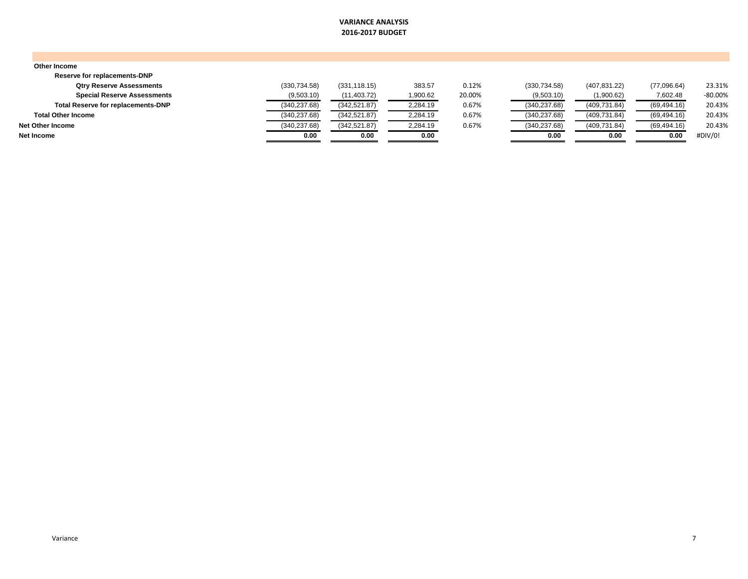#### **VARIANCE ANALYSIS 2016-2017 BUDGET**

| Other Income                              |               |               |          |        |               |               |              |           |
|-------------------------------------------|---------------|---------------|----------|--------|---------------|---------------|--------------|-----------|
| Reserve for replacements-DNP              |               |               |          |        |               |               |              |           |
| <b>Qtry Reserve Assessments</b>           | (330,734.58)  | (331, 118.15) | 383.57   | 0.12%  | (330, 734.58) | (407, 831.22) | (77,096.64)  | 23.31%    |
| <b>Special Reserve Assessments</b>        | (9,503.10)    | (11, 403.72)  | 1,900.62 | 20.00% | (9,503.10)    | (1,900.62)    | 7,602.48     | $-80.00%$ |
| <b>Total Reserve for replacements-DNP</b> | (340, 237.68) | (342, 521.87) | 2,284.19 | 0.67%  | (340, 237.68) | (409, 731.84) | (69, 494.16) | 20.43%    |
| <b>Total Other Income</b>                 | (340, 237.68) | (342, 521.87) | 2,284.19 | 0.67%  | (340, 237.68) | (409, 731.84) | (69, 494.16) | 20.43%    |
| Net Other Income                          | (340,237.68)  | (342, 521.87) | 2,284.19 | 0.67%  | (340, 237.68) | (409, 731.84) | (69, 494.16) | 20.43%    |
| Net Income                                | 0.00          | 0.00          | 0.00     |        | 0.00          | 0.00          | 0.00         | #DIV/0!   |
|                                           |               |               |          |        |               |               |              |           |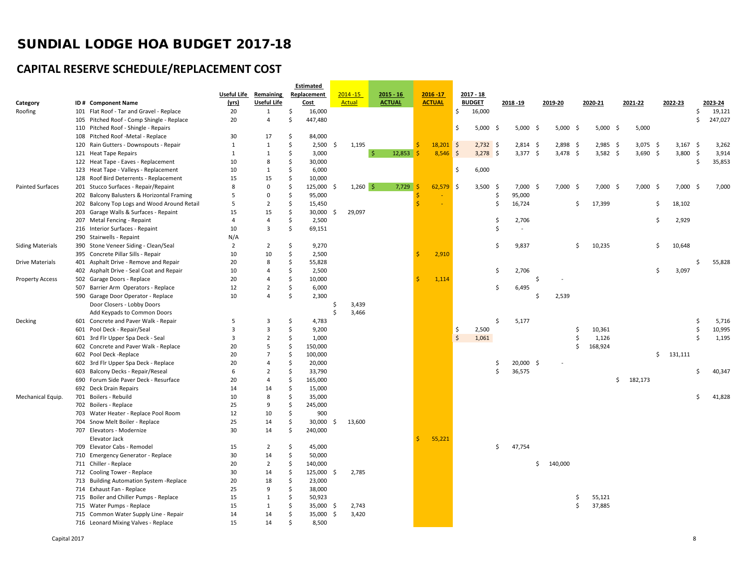## **CAPITAL RESERVE SCHEDULE/REPLACEMENT COST**

|                         |                                             |                |                              |                     | <b>Estimated</b> |     |               |               |    |               |                     |               |      |            |     |            |     |            |               |            |     |         |     |         |
|-------------------------|---------------------------------------------|----------------|------------------------------|---------------------|------------------|-----|---------------|---------------|----|---------------|---------------------|---------------|------|------------|-----|------------|-----|------------|---------------|------------|-----|---------|-----|---------|
|                         |                                             |                | <b>Useful Life Remaining</b> |                     | Replacement      |     | $2014 - 15$   | $2015 - 16$   |    | $2016 - 17$   |                     | $2017 - 18$   |      |            |     |            |     |            |               |            |     |         |     |         |
| Category                | ID# Component Name                          | (yrs)          | <b>Useful Life</b>           |                     | <b>Cost</b>      |     | <b>Actual</b> | <b>ACTUAL</b> |    | <b>ACTUAL</b> |                     | <b>BUDGET</b> |      | 2018 - 19  |     | 2019-20    |     | 2020-21    | 2021-22       |            |     | 2022-23 |     | 2023-24 |
| Roofing                 | 101 Flat Roof - Tar and Gravel - Replace    | 20             | $\mathbf{1}$                 | \$                  | 16,000           |     |               |               |    |               | \$                  | 16,000        |      |            |     |            |     |            |               |            |     |         | \$  | 19,121  |
|                         | 105 Pitched Roof - Comp Shingle - Replace   | 20             | $\overline{4}$               | $\mathsf{\hat{S}}$  | 447,480          |     |               |               |    |               |                     |               |      |            |     |            |     |            |               |            |     |         | Ś   | 247,027 |
|                         | 110 Pitched Roof - Shingle - Repairs        |                |                              |                     |                  |     |               |               |    |               | \$                  | 5,000         | - \$ | $5,000$ \$ |     | $5,000$ \$ |     | $5,000$ \$ |               | 5,000      |     |         |     |         |
|                         | 108 Pitched Roof -Metal - Replace           | 30             | 17                           | $\mathsf{\hat{S}}$  | 84,000           |     |               |               |    |               |                     |               |      |            |     |            |     |            |               |            |     |         |     |         |
|                         | 120 Rain Gutters - Downspouts - Repair      | $\mathbf{1}$   | $\mathbf{1}$                 | \$                  | 2,500            | -Ś  | 1,195         |               |    | $18,201$ \$   |                     | $2,732$ \$    |      | $2,814$ \$ |     | $2,898$ \$ |     | $2,985$ \$ |               | $3,075$ \$ |     | 3,167   | -\$ | 3,262   |
|                         | 121 Heat Tape Repairs                       | $\mathbf{1}$   | $\mathbf{1}$                 | Ŝ.                  | 3,000            |     |               | -Ŝ<br>12,853  |    | $8,546$ \$    |                     | $3,278$ \$    |      | $3,377$ \$ |     | $3,478$ \$ |     | $3,582$ \$ |               | $3,690$ \$ |     | 3,800   | -\$ | 3,914   |
|                         | 122 Heat Tape - Eaves - Replacement         | 10             | 8                            | Ś                   | 30,000           |     |               |               |    |               |                     |               |      |            |     |            |     |            |               |            |     |         | Ś   | 35,853  |
|                         | 123 Heat Tape - Valleys - Replacement       | 10             | $\mathbf{1}$                 | Ŝ.                  | 6,000            |     |               |               |    |               | \$                  | 6,000         |      |            |     |            |     |            |               |            |     |         |     |         |
|                         | 128 Roof Bird Deterrents - Replacement      | 15             | 15                           | $\mathsf{\hat{S}}$  | 10,000           |     |               |               |    |               |                     |               |      |            |     |            |     |            |               |            |     |         |     |         |
| <b>Painted Surfaces</b> | 201 Stucco Surfaces - Repair/Repaint        | 8              | $\mathbf 0$                  | Ś                   | 125,000          |     | $1,260$ \$    | 7,729         |    | $62,579$ \$   |                     | 3,500         | \$   | $7,000$ \$ |     | $7,000$ \$ |     | $7,000$ \$ |               | 7,000      | -\$ | 7,000   | -\$ | 7,000   |
|                         | 202 Balcony Balusters & Horizontal Framing  | 5              | $\mathbf 0$                  | $\mathsf{\hat{S}}$  | 95,000           |     |               |               | Ŝ  |               |                     |               | \$   | 95,000     |     |            |     |            |               |            |     |         |     |         |
|                         | 202 Balcony Top Logs and Wood Around Retail | 5              | $\overline{2}$               | $\mathsf{\hat{S}}$  | 15,450           |     |               |               | Ŝ  |               |                     |               | Ś    | 16,724     |     |            | \$. | 17,399     |               |            | \$  | 18,102  |     |         |
|                         | 203 Garage Walls & Surfaces - Repaint       | 15             | 15                           | $\mathsf{\hat{S}}$  | 30,000           | -S  | 29,097        |               |    |               |                     |               |      |            |     |            |     |            |               |            |     |         |     |         |
|                         | 207 Metal Fencing - Repaint                 | $\overline{4}$ | 4                            | $\mathsf{\hat{S}}$  | 2,500            |     |               |               |    |               |                     |               | \$   | 2,706      |     |            |     |            |               |            | \$  | 2,929   |     |         |
|                         | 216 Interior Surfaces - Repaint             | 10             | $\overline{3}$               | Ś                   | 69,151           |     |               |               |    |               |                     |               | Ś    | $\sim$     |     |            |     |            |               |            |     |         |     |         |
|                         | 290 Stairwells - Repaint                    | N/A            |                              |                     |                  |     |               |               |    |               |                     |               |      |            |     |            |     |            |               |            |     |         |     |         |
| <b>Siding Materials</b> | 390 Stone Veneer Siding - Clean/Seal        | 2              | $\overline{2}$               | \$                  | 9,270            |     |               |               |    |               |                     |               | Ŝ.   | 9,837      |     |            | \$  | 10,235     |               |            | \$  | 10,648  |     |         |
|                         | 395 Concrete Pillar Sills - Repair          | 10             | 10                           | \$                  | 2,500            |     |               |               | -Ś | 2,910         |                     |               |      |            |     |            |     |            |               |            |     |         |     |         |
| Drive Materials         | 401 Asphalt Drive - Remove and Repair       | 20             | 8                            | Ŝ.                  | 55,828           |     |               |               |    |               |                     |               |      |            |     |            |     |            |               |            |     |         | Ś   | 55,828  |
|                         | 402 Asphalt Drive - Seal Coat and Repair    | 10             | 4                            | \$                  | 2,500            |     |               |               |    |               |                     |               | \$   | 2,706      |     |            |     |            |               |            | \$  | 3,097   |     |         |
| <b>Property Access</b>  | 502 Garage Doors - Replace                  | 20             | 4                            | \$                  | 10,000           |     |               |               | -Ś | 1,114         |                     |               |      |            | -\$ |            |     |            |               |            |     |         |     |         |
|                         | 507 Barrier Arm Operators - Replace         | 12             | $\overline{2}$               | $\mathsf{\hat{S}}$  | 6,000            |     |               |               |    |               |                     |               | \$   | 6,495      |     |            |     |            |               |            |     |         |     |         |
|                         | 590 Garage Door Operator - Replace          | 10             | $\overline{4}$               | $\mathsf{\hat{S}}$  | 2,300            |     |               |               |    |               |                     |               |      |            | Ś.  | 2,539      |     |            |               |            |     |         |     |         |
|                         | Door Closers - Lobby Doors                  |                |                              |                     |                  | Ś   | 3,439         |               |    |               |                     |               |      |            |     |            |     |            |               |            |     |         |     |         |
|                         | Add Keypads to Common Doors                 |                |                              |                     |                  |     | 3,466         |               |    |               |                     |               |      |            |     |            |     |            |               |            |     |         |     |         |
| Decking                 | 601 Concrete and Paver Walk - Repair        | 5              | 3                            | \$                  | 4,783            |     |               |               |    |               |                     |               | Ś    | 5,177      |     |            |     |            |               |            |     |         | \$  | 5,716   |
|                         | 601 Pool Deck - Repair/Seal                 | $\overline{3}$ | $\overline{3}$               | Ś                   | 9,200            |     |               |               |    |               | -\$                 | 2,500         |      |            |     |            | Ś   | 10,361     |               |            |     |         | Ś   | 10,995  |
|                         | 601 3rd Flr Upper Spa Deck - Seal           | 3              | $\overline{2}$               | Ś                   | 1,000            |     |               |               |    |               | $\ddot{\mathsf{S}}$ | 1,061         |      |            |     |            | Ŝ   | 1,126      |               |            |     |         | Ś   | 1,195   |
|                         | 602 Concrete and Paver Walk - Replace       | 20             | 5                            | Ś                   | 150,000          |     |               |               |    |               |                     |               |      |            |     |            | Ŝ   | 168,924    |               |            |     |         |     |         |
|                         | 602 Pool Deck -Replace                      | 20             | $\overline{7}$               | Ś                   | 100,000          |     |               |               |    |               |                     |               |      |            |     |            |     |            |               |            | \$  | 131,111 |     |         |
|                         | 602 3rd Flr Upper Spa Deck - Replace        | 20             | $\overline{4}$               | \$                  | 20,000           |     |               |               |    |               |                     |               | Ŝ    | 20,000 \$  |     |            |     |            |               |            |     |         |     |         |
|                         | 603 Balcony Decks - Repair/Reseal           | 6              | $\overline{2}$               | Ś                   | 33,790           |     |               |               |    |               |                     |               | Ś    | 36,575     |     |            |     |            |               |            |     |         | Ś   | 40,347  |
|                         | 690 Forum Side Paver Deck - Resurface       | 20             | $\overline{4}$               | $\mathsf{\hat{S}}$  | 165,000          |     |               |               |    |               |                     |               |      |            |     |            |     |            | \$<br>182,173 |            |     |         |     |         |
|                         | 692 Deck Drain Repairs                      | 14             | 14                           | \$                  | 15,000           |     |               |               |    |               |                     |               |      |            |     |            |     |            |               |            |     |         |     |         |
| Mechanical Equip.       | 701 Boilers - Rebuild                       | 10             | 8                            | Ś                   | 35,000           |     |               |               |    |               |                     |               |      |            |     |            |     |            |               |            |     |         | Ś   | 41,828  |
|                         | 702 Boilers - Replace                       | 25             | 9                            | S,                  | 245,000          |     |               |               |    |               |                     |               |      |            |     |            |     |            |               |            |     |         |     |         |
|                         | 703 Water Heater - Replace Pool Room        | 12             | 10                           | $\ddot{\mathsf{S}}$ | 900              |     |               |               |    |               |                     |               |      |            |     |            |     |            |               |            |     |         |     |         |
|                         | 704 Snow Melt Boiler - Replace              | 25             | 14                           | $\ddot{\mathsf{S}}$ | 30,000           | -Ś  | 13,600        |               |    |               |                     |               |      |            |     |            |     |            |               |            |     |         |     |         |
|                         | 707 Elevators - Modernize                   | 30             | 14                           | Ŝ.                  | 240,000          |     |               |               |    |               |                     |               |      |            |     |            |     |            |               |            |     |         |     |         |
|                         | Elevator Jack                               |                |                              |                     |                  |     |               |               | Ŝ. | 55,221        |                     |               |      |            |     |            |     |            |               |            |     |         |     |         |
|                         | 709 Elevator Cabs - Remodel                 | 15             | $\overline{2}$               | Ś                   | 45,000           |     |               |               |    |               |                     |               | \$   | 47,754     |     |            |     |            |               |            |     |         |     |         |
|                         | 710 Emergency Generator - Replace           | 30             | 14                           | Ŝ.                  | 50,000           |     |               |               |    |               |                     |               |      |            |     |            |     |            |               |            |     |         |     |         |
|                         | 711 Chiller - Replace                       | 20             | $\overline{2}$               | $\mathsf{\hat{S}}$  | 140,000          |     |               |               |    |               |                     |               |      |            | \$  | 140,000    |     |            |               |            |     |         |     |         |
|                         | 712 Cooling Tower - Replace                 | 30             | 14                           | $\mathsf{\hat{S}}$  | 125,000          | ις. | 2,785         |               |    |               |                     |               |      |            |     |            |     |            |               |            |     |         |     |         |
|                         | 713 Building Automation System - Replace    | 20             | 18                           | $\mathsf{\hat{S}}$  | 23,000           |     |               |               |    |               |                     |               |      |            |     |            |     |            |               |            |     |         |     |         |
|                         | 714 Exhaust Fan - Replace                   | 25             | 9                            | Ś                   | 38,000           |     |               |               |    |               |                     |               |      |            |     |            |     |            |               |            |     |         |     |         |
|                         | 715 Boiler and Chiller Pumps - Replace      | 15             | $\mathbf{1}$                 | Ś                   | 50,923           |     |               |               |    |               |                     |               |      |            |     |            | Ŝ   | 55,121     |               |            |     |         |     |         |
|                         | 715 Water Pumps - Replace                   | 15             | $\mathbf{1}$                 | \$                  | 35,000           | -\$ | 2,743         |               |    |               |                     |               |      |            |     |            | Ŝ   | 37,885     |               |            |     |         |     |         |
|                         | 715 Common Water Supply Line - Repair       | 14             | 14                           | $\mathsf{\hat{S}}$  | 35,000           | -Ś  | 3,420         |               |    |               |                     |               |      |            |     |            |     |            |               |            |     |         |     |         |
|                         | 716 Leonard Mixing Valves - Replace         | 15             | 14                           | Ś                   | 8,500            |     |               |               |    |               |                     |               |      |            |     |            |     |            |               |            |     |         |     |         |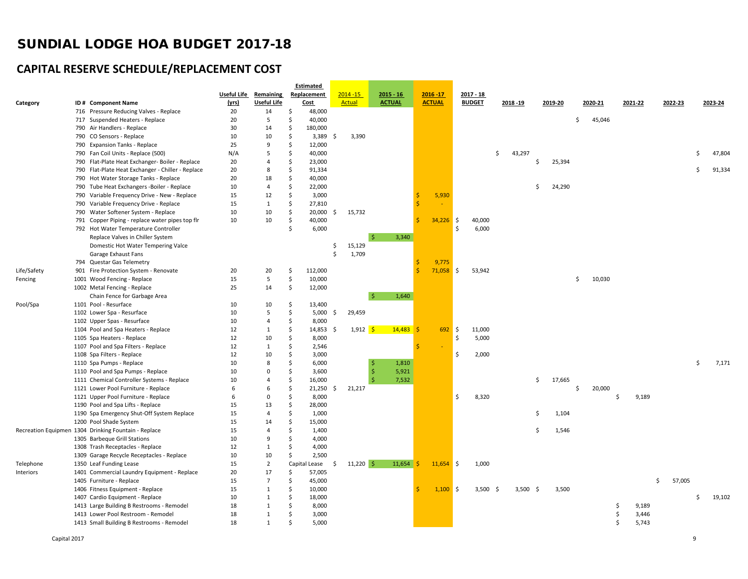## **CAPITAL RESERVE SCHEDULE/REPLACEMENT COST**

|             |                                                      |             |                    | Estimated        |                   |               |               |                    |            |            |              |         |         |         |              |    |         |
|-------------|------------------------------------------------------|-------------|--------------------|------------------|-------------------|---------------|---------------|--------------------|------------|------------|--------------|---------|---------|---------|--------------|----|---------|
|             |                                                      | Useful Life | Remaining          | Replacement      | $2014 - 15$       | $2015 - 16$   | $2016 - 17$   | 2017 - 18          |            |            |              |         |         |         |              |    |         |
| Category    | ID# Component Name                                   | (yrs)       | <b>Useful Life</b> | Cost             | <b>Actual</b>     | <b>ACTUAL</b> | <b>ACTUAL</b> | <b>BUDGET</b>      |            | 2018-19    | 2019-20      | 2020-21 |         | 2021-22 | 2022-23      |    | 2023-24 |
|             | 716 Pressure Reducing Valves - Replace               | 20          | 14                 | \$<br>48,000     |                   |               |               |                    |            |            |              |         |         |         |              |    |         |
|             | 717 Suspended Heaters - Replace                      | 20          | 5                  | \$<br>40,000     |                   |               |               |                    |            |            |              | \$      | 45,046  |         |              |    |         |
|             | 790 Air Handlers - Replace                           | 30          | 14                 | \$<br>180,000    |                   |               |               |                    |            |            |              |         |         |         |              |    |         |
|             | 790 CO Sensors - Replace                             | 10          | 10                 | \$<br>$3,389$ \$ | 3,390             |               |               |                    |            |            |              |         |         |         |              |    |         |
|             | 790 Expansion Tanks - Replace                        | 25          | 9                  | \$<br>12,000     |                   |               |               |                    |            |            |              |         |         |         |              |    |         |
|             | 790 Fan Coil Units - Replace (500)                   | N/A         | 5                  | Ś.<br>40,000     |                   |               |               |                    | \$         | 43,297     |              |         |         |         |              | Ś  | 47,804  |
|             | 790 Flat-Plate Heat Exchanger- Boiler - Replace      | 20          | 4                  | Ś.<br>23,000     |                   |               |               |                    |            |            | Ś.<br>25,394 |         |         |         |              |    |         |
|             | 790 Flat-Plate Heat Exchanger - Chiller - Replace    | 20          | 8                  | \$<br>91,334     |                   |               |               |                    |            |            |              |         |         |         |              | Ś  | 91,334  |
|             | 790 Hot Water Storage Tanks - Replace                | 20          | 18                 | \$<br>40,000     |                   |               |               |                    |            |            |              |         |         |         |              |    |         |
|             | 790 Tube Heat Exchangers -Boiler - Replace           | 10          | $\overline{4}$     | Ś<br>22,000      |                   |               |               |                    |            |            | 24,290<br>Ś. |         |         |         |              |    |         |
|             | 790 Variable Frequency Drive - New - Replace         | 15          | 12                 | Ś<br>3,000       |                   |               | 5,930         |                    |            |            |              |         |         |         |              |    |         |
|             | 790 Variable Frequency Drive - Replace               | 15          | $\mathbf{1}$       | Ś.<br>27,810     |                   |               |               |                    |            |            |              |         |         |         |              |    |         |
|             | 790 Water Softener System - Replace                  | 10          | 10                 | Ś.<br>20,000     | 15,732<br>- S     |               |               |                    |            |            |              |         |         |         |              |    |         |
|             | 791 Copper Piping - replace water pipes top flr      | 10          | 10                 | \$<br>40,000     |                   |               | 34,226        | <b>S</b><br>40,000 |            |            |              |         |         |         |              |    |         |
|             | 792 Hot Water Temperature Controller                 |             |                    | Ś<br>6,000       |                   |               |               | \$                 | 6,000      |            |              |         |         |         |              |    |         |
|             | Replace Valves in Chiller System                     |             |                    |                  |                   | 3,340<br>-Ś   |               |                    |            |            |              |         |         |         |              |    |         |
|             | Domestic Hot Water Tempering Valce                   |             |                    |                  | \$<br>15,129      |               |               |                    |            |            |              |         |         |         |              |    |         |
|             | Garage Exhaust Fans                                  |             |                    |                  | Ś<br>1,709        |               |               |                    |            |            |              |         |         |         |              |    |         |
|             | 794 Questar Gas Telemetry                            |             |                    |                  |                   |               | 9,775         |                    |            |            |              |         |         |         |              |    |         |
| Life/Safety | 901 Fire Protection System - Renovate                | 20          | 20                 | 112,000<br>\$    |                   |               | $71,058$ \$   | 53,942             |            |            |              |         |         |         |              |    |         |
| Fencing     | 1001 Wood Fencing - Replace                          | 15          | 5                  | \$<br>10,000     |                   |               |               |                    |            |            |              | \$      | 10,030  |         |              |    |         |
|             | 1002 Metal Fencing - Replace                         | 25          | 14                 | \$<br>12,000     |                   |               |               |                    |            |            |              |         |         |         |              |    |         |
|             | Chain Fence for Garbage Area                         |             |                    |                  |                   | -Ś<br>1,640   |               |                    |            |            |              |         |         |         |              |    |         |
| Pool/Spa    | 1101 Pool - Resurface                                | 10          | 10                 | Ś<br>13,400      |                   |               |               |                    |            |            |              |         |         |         |              |    |         |
|             | 1102 Lower Spa - Resurface                           | 10          | 5                  | \$<br>5,000      | 29,459<br>- \$    |               |               |                    |            |            |              |         |         |         |              |    |         |
|             | 1102 Upper Spas - Resurface                          | 10          | $\overline{4}$     | \$<br>8,000      |                   |               |               |                    |            |            |              |         |         |         |              |    |         |
|             | 1104 Pool and Spa Heaters - Replace                  | 12          | $\mathbf{1}$       | Ś.<br>14,853 \$  | $1,912$ \$        | $14,483$ \$   | 692           | S.<br>11,000       |            |            |              |         |         |         |              |    |         |
|             | 1105 Spa Heaters - Replace                           | 12          | 10                 | \$<br>8,000      |                   |               |               | \$                 | 5,000      |            |              |         |         |         |              |    |         |
|             | 1107 Pool and Spa Filters - Replace                  | 12          | $\mathbf{1}$       | \$<br>2,546      |                   |               |               |                    |            |            |              |         |         |         |              |    |         |
|             | 1108 Spa Filters - Replace                           | 12          | 10                 | Ś.<br>3,000      |                   |               |               | Ś.                 | 2,000      |            |              |         |         |         |              |    |         |
|             | 1110 Spa Pumps - Replace                             | 10          | 8                  | \$<br>6,000      |                   | -Ś<br>1,810   |               |                    |            |            |              |         |         |         |              | \$ | 7,171   |
|             | 1110 Pool and Spa Pumps - Replace                    | 10          | $\Omega$           | \$<br>3,600      |                   | -Ś<br>5,921   |               |                    |            |            |              |         |         |         |              |    |         |
|             | 1111 Chemical Controller Systems - Replace           | 10          | $\overline{a}$     | \$<br>16,000     |                   | -Ś<br>7,532   |               |                    |            |            | \$<br>17,665 |         |         |         |              |    |         |
|             | 1121 Lower Pool Furniture - Replace                  | 6           | 6                  | \$<br>21,250     | 21,217<br>- Ś     |               |               |                    |            |            |              | Ŝ.      | 20,000  |         |              |    |         |
|             | 1121 Upper Pool Furniture - Replace                  | 6           | $\Omega$           | Ś<br>8,000       |                   |               |               | \$                 | 8,320      |            |              |         | Ś       | 9,189   |              |    |         |
|             | 1190 Pool and Spa Lifts - Replace                    | 15          | 13                 | Ś.<br>28,000     |                   |               |               |                    |            |            |              |         |         |         |              |    |         |
|             | 1190 Spa Emergency Shut-Off System Replace           | 15          | 4                  | \$<br>1,000      |                   |               |               |                    |            | Ŝ          | 1,104        |         |         |         |              |    |         |
|             | 1200 Pool Shade System                               | 15          | 14                 | \$<br>15,000     |                   |               |               |                    |            |            |              |         |         |         |              |    |         |
|             | Recreation Equipmen 1304 Drinking Fountain - Replace | 15          | 4                  | Ś<br>1,400       |                   |               |               |                    |            |            | \$<br>1,546  |         |         |         |              |    |         |
|             | 1305 Barbeque Grill Stations                         | 10          | 9                  | Ś.<br>4,000      |                   |               |               |                    |            |            |              |         |         |         |              |    |         |
|             | 1308 Trash Receptacles - Replace                     | 12          | 1                  | Ś.<br>4,000      |                   |               |               |                    |            |            |              |         |         |         |              |    |         |
|             | 1309 Garage Recycle Receptacles - Replace            | 10          | 10                 | Ś.<br>2,500      |                   |               |               |                    |            |            |              |         |         |         |              |    |         |
| Telephone   | 1350 Leaf Funding Lease                              | 15          | $\overline{2}$     | Capital Lease    | $11,220$ \$<br>\$ | $11,654$ \$   | $11,654$ \$   |                    | 1,000      |            |              |         |         |         |              |    |         |
| Interiors   | 1401 Commercial Laundry Equipment - Replace          | 20          | 17                 | \$<br>57,005     |                   |               |               |                    |            |            |              |         |         |         |              |    |         |
|             | 1405 Furniture - Replace                             | 15          | $\overline{7}$     | 45,000<br>Ś      |                   |               |               |                    |            |            |              |         |         |         | \$<br>57,005 |    |         |
|             | 1406 Fitness Equipment - Replace                     | 15          | $\mathbf{1}$       | Ś.<br>10,000     |                   |               | $1,100$ \$    |                    | $3,500$ \$ | $3,500$ \$ | 3,500        |         |         |         |              |    |         |
|             | 1407 Cardio Equipment - Replace                      | 10          | $\mathbf{1}$       | Ś.<br>18,000     |                   |               |               |                    |            |            |              |         |         |         |              | Ś  | 19,102  |
|             |                                                      | 18          | $\mathbf{1}$       | \$<br>8,000      |                   |               |               |                    |            |            |              |         | Ŝ       | 9,189   |              |    |         |
|             | 1413 Large Building B Restrooms - Remodel            | 18          | 1                  | Ś.               |                   |               |               |                    |            |            |              |         |         |         |              |    |         |
|             | 1413 Lower Pool Restroom - Remodel                   |             | $\mathbf{1}$       | 3,000<br>Ŝ.      |                   |               |               |                    |            |            |              |         | Ŝ<br>\$ | 3,446   |              |    |         |
|             | 1413 Small Building B Restrooms - Remodel            | 18          |                    | 5,000            |                   |               |               |                    |            |            |              |         |         | 5,743   |              |    |         |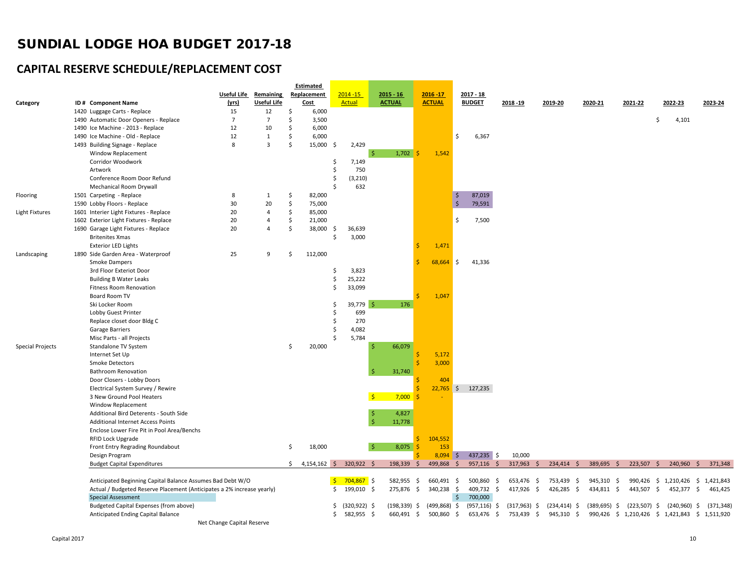## **CAPITAL RESERVE SCHEDULE/REPLACEMENT COST**

|                         |                                                                        |                            |                    |                     | Estimated       |             |                 |                            |                |                    |                     |                |                 |                   |                |                                                |            |
|-------------------------|------------------------------------------------------------------------|----------------------------|--------------------|---------------------|-----------------|-------------|-----------------|----------------------------|----------------|--------------------|---------------------|----------------|-----------------|-------------------|----------------|------------------------------------------------|------------|
|                         |                                                                        | Useful Life                | Remaining          |                     | Replacement     | $2014 - 15$ |                 | $2015 - 16$                | $2016 - 17$    |                    | $2017 - 18$         |                |                 |                   |                |                                                |            |
| Category                | ID# Component Name                                                     | (yrs)                      | <b>Useful Life</b> |                     | <u>Cost</u>     |             | <b>Actual</b>   | <b>ACTUAL</b>              | <b>ACTUAL</b>  |                    | <b>BUDGET</b>       | 2018-19        | 2019-20         | 2020-21           | 2021-22        | 2022-23                                        | 2023-24    |
|                         | 1420 Luggage Carts - Replace                                           | 15                         | 12                 | -\$                 | 6,000           |             |                 |                            |                |                    |                     |                |                 |                   |                |                                                |            |
|                         | 1490 Automatic Door Openers - Replace                                  | $\overline{7}$             | $\overline{7}$     | Ŝ.                  | 3,500           |             |                 |                            |                |                    |                     |                |                 |                   |                | Ś<br>4,101                                     |            |
|                         | 1490 Ice Machine - 2013 - Replace                                      | 12                         | 10                 | Ŝ.                  | 6,000           |             |                 |                            |                |                    |                     |                |                 |                   |                |                                                |            |
|                         | 1490 Ice Machine - Old - Replace                                       | 12                         | $\mathbf{1}$       | \$                  | 6,000           |             |                 |                            |                | \$                 | 6,367               |                |                 |                   |                |                                                |            |
|                         | 1493 Building Signage - Replace                                        | 8                          | 3                  | <sup>\$</sup>       | 15,000          | -Ś          | 2,429           |                            |                |                    |                     |                |                 |                   |                |                                                |            |
|                         | Window Replacement                                                     |                            |                    |                     |                 |             | -\$             | $1,702$ \$                 | 1,542          |                    |                     |                |                 |                   |                |                                                |            |
|                         | Corridor Woodwork                                                      |                            |                    |                     |                 | \$.         | 7,149           |                            |                |                    |                     |                |                 |                   |                |                                                |            |
|                         | Artwork                                                                |                            |                    |                     |                 | .S          | 750             |                            |                |                    |                     |                |                 |                   |                |                                                |            |
|                         | Conference Room Door Refund                                            |                            |                    |                     |                 | Ŝ           | (3, 210)        |                            |                |                    |                     |                |                 |                   |                |                                                |            |
|                         | Mechanical Room Drywall                                                |                            |                    |                     |                 |             | 632             |                            |                |                    |                     |                |                 |                   |                |                                                |            |
| Flooring                | 1501 Carpeting - Replace                                               | 8                          | 1                  | \$                  | 82,000          |             |                 |                            |                | $\ddot{\phi}$      | 87,019              |                |                 |                   |                |                                                |            |
|                         | 1590 Lobby Floors - Replace                                            | 30                         | 20                 | \$                  | 75,000          |             |                 |                            |                | $\frac{1}{2}$      | 79,591              |                |                 |                   |                |                                                |            |
| <b>Light Fixtures</b>   | 1601 Interier Light Fixtures - Replace                                 | 20                         | $\overline{4}$     | $\ddot{\mathsf{S}}$ | 85,000          |             |                 |                            |                |                    |                     |                |                 |                   |                |                                                |            |
|                         | 1602 Exterior Light Fixtures - Replace                                 | 20                         | 4                  | \$                  | 21,000          |             |                 |                            |                | \$                 | 7,500               |                |                 |                   |                |                                                |            |
|                         | 1690 Garage Light Fixtures - Replace                                   | 20                         | $\overline{4}$     | $\mathsf{\hat{S}}$  | 38,000          | \$.         | 36,639          |                            |                |                    |                     |                |                 |                   |                |                                                |            |
|                         | <b>Britenites Xmas</b>                                                 |                            |                    |                     |                 | -S          | 3,000           |                            |                |                    |                     |                |                 |                   |                |                                                |            |
|                         | <b>Exterior LED Lights</b>                                             |                            |                    |                     |                 |             |                 |                            | 1,471<br>Ś     |                    |                     |                |                 |                   |                |                                                |            |
| Landscaping             | 1890 Side Garden Area - Waterproof                                     | 25                         | 9                  | Ŝ.                  | 112,000         |             |                 |                            |                |                    |                     |                |                 |                   |                |                                                |            |
|                         | <b>Smoke Dampers</b>                                                   |                            |                    |                     |                 |             |                 |                            | 68,664         | $\ddot{\varsigma}$ | 41,336              |                |                 |                   |                |                                                |            |
|                         | 3rd Floor Exteriot Door                                                |                            |                    |                     |                 | Ś           | 3,823           |                            |                |                    |                     |                |                 |                   |                |                                                |            |
|                         | <b>Building B Water Leaks</b>                                          |                            |                    |                     |                 | Ś           | 25,222          |                            |                |                    |                     |                |                 |                   |                |                                                |            |
|                         | Fitness Room Renovation                                                |                            |                    |                     |                 | Ŝ           | 33,099          |                            |                |                    |                     |                |                 |                   |                |                                                |            |
|                         | Board Room TV                                                          |                            |                    |                     |                 |             |                 |                            | 1,047          |                    |                     |                |                 |                   |                |                                                |            |
|                         | Ski Locker Room                                                        |                            |                    |                     |                 | Ŝ           | $39,779$ \$     | 176                        |                |                    |                     |                |                 |                   |                |                                                |            |
|                         | Lobby Guest Printer                                                    |                            |                    |                     |                 | -S          | 699             |                            |                |                    |                     |                |                 |                   |                |                                                |            |
|                         | Replace closet door Bldg C                                             |                            |                    |                     |                 | Ś           | 270             |                            |                |                    |                     |                |                 |                   |                |                                                |            |
|                         | Garage Barriers                                                        |                            |                    |                     |                 | -Ś          | 4,082           |                            |                |                    |                     |                |                 |                   |                |                                                |            |
|                         | Misc Parts - all Projects                                              |                            |                    |                     |                 | -S          | 5,784           |                            |                |                    |                     |                |                 |                   |                |                                                |            |
| <b>Special Projects</b> | Standalone TV System                                                   |                            |                    | -\$                 | 20,000          |             |                 | 66,079                     |                |                    |                     |                |                 |                   |                |                                                |            |
|                         | Internet Set Up                                                        |                            |                    |                     |                 |             |                 |                            | 5,172<br>Ś     |                    |                     |                |                 |                   |                |                                                |            |
|                         | Smoke Detectors                                                        |                            |                    |                     |                 |             |                 |                            | 3,000          |                    |                     |                |                 |                   |                |                                                |            |
|                         | <b>Bathroom Renovation</b>                                             |                            |                    |                     |                 |             |                 | 31,740                     |                |                    |                     |                |                 |                   |                |                                                |            |
|                         | Door Closers - Lobby Doors                                             |                            |                    |                     |                 |             |                 |                            | 404            |                    |                     |                |                 |                   |                |                                                |            |
|                         | Electrical System Survey / Rewire                                      |                            |                    |                     |                 |             |                 |                            |                |                    | $22,765$ \$ 127,235 |                |                 |                   |                |                                                |            |
|                         | 3 New Ground Pool Heaters                                              |                            |                    |                     |                 |             |                 | $7,000$ \$<br>$\mathsf{S}$ |                |                    |                     |                |                 |                   |                |                                                |            |
|                         | Window Replacement                                                     |                            |                    |                     |                 |             |                 |                            |                |                    |                     |                |                 |                   |                |                                                |            |
|                         | Additional Bird Deterents - South Side                                 |                            |                    |                     |                 |             | -\$             | 4,827                      |                |                    |                     |                |                 |                   |                |                                                |            |
|                         | <b>Additional Internet Access Points</b>                               |                            |                    |                     |                 |             |                 | 11,778                     |                |                    |                     |                |                 |                   |                |                                                |            |
|                         | Enclose Lower Fire Pit in Pool Area/Benchs                             |                            |                    |                     |                 |             |                 |                            |                |                    |                     |                |                 |                   |                |                                                |            |
|                         | RFID Lock Upgrade                                                      |                            |                    |                     |                 |             |                 |                            | 104,552<br>ς.  |                    |                     |                |                 |                   |                |                                                |            |
|                         | Front Entry Regrading Roundabout                                       |                            |                    | -\$                 | 18,000          |             | $\mathsf{S}$    | 8,075<br>-Ś                | 153            |                    |                     |                |                 |                   |                |                                                |            |
|                         | Design Program                                                         |                            |                    |                     |                 |             |                 |                            | $8,094$ \$     |                    | $437,235$ \$        | 10,000         |                 |                   |                |                                                |            |
|                         | <b>Budget Capital Expenditures</b>                                     |                            |                    |                     | $$4,154,162$ \$ |             | 320,922 \$      | $198,339$ \$               | 499,868        | $\zeta$            | $957,116$ \$        | $317,963$ \$   | $234,414$ \$    | 389,695 \$        | $223,507$ \$   | $240,960$ \$                                   | 371,348    |
|                         |                                                                        |                            |                    |                     |                 |             |                 |                            |                |                    |                     |                |                 |                   |                |                                                |            |
|                         | Anticipated Beginning Capital Balance Assumes Bad Debt W/O             |                            |                    |                     |                 |             | $$704,867$ \$   | 582,955 \$                 | 660,491 \$     |                    | 500,860 \$          | 653,476 \$     | 753,439<br>\$   | 945,310 \$        |                | 990,426 \$ 1,210,426 \$                        | 1,421,843  |
|                         | Actual / Budgeted Reserve Placement (Anticipates a 2% increase yearly) |                            |                    |                     |                 | Ŝ.          | 199,010 \$      | 275,876 \$                 | 340,238 \$     |                    | 409,732 \$          | 417,926 \$     | 426,285 \$      | 434,811 \$        | 443,507 \$     | 452,377 \$                                     | 461,425    |
|                         | <b>Special Assessment</b>                                              |                            |                    |                     |                 |             |                 |                            |                | $\mathsf{S}$       | 700,000             |                |                 |                   |                |                                                |            |
|                         | Budgeted Capital Expenses (from above)                                 |                            |                    |                     |                 | \$          | $(320, 922)$ \$ | $(198, 339)$ \$            | $(499,868)$ \$ |                    | $(957, 116)$ \$     | $(317,963)$ \$ | $(234, 414)$ \$ | (389, 695)<br>-\$ | $(223,507)$ \$ | $(240,960)$ \$                                 | (371, 348) |
|                         | Anticipated Ending Capital Balance                                     |                            |                    |                     |                 | S.          | 582,955 \$      | 660,491 \$                 | 500,860 \$     |                    | 653,476 \$          | 753,439 \$     | 945,310 \$      |                   |                | 990,426 \$ 1,210,426 \$ 1,421,843 \$ 1,511,920 |            |
|                         |                                                                        | Net Change Capital Reserve |                    |                     |                 |             |                 |                            |                |                    |                     |                |                 |                   |                |                                                |            |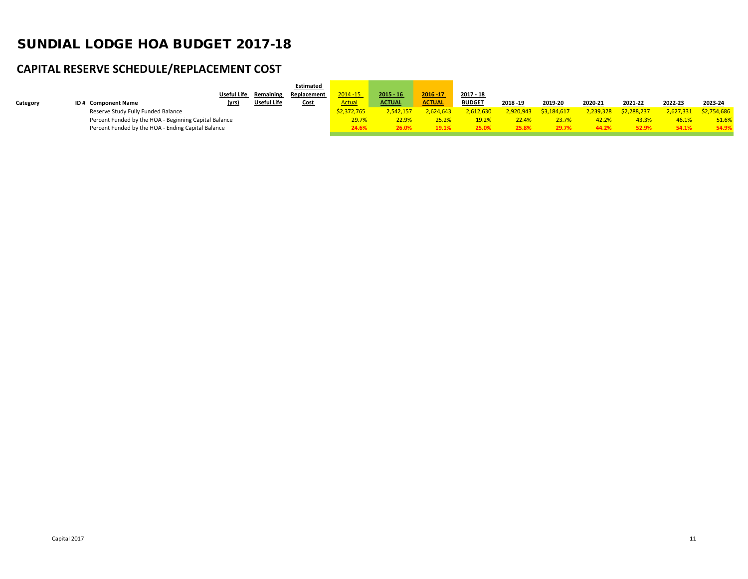## **CAPITAL RESERVE SCHEDULE/REPLACEMENT COST**

|          |                                                       |                    |             | <b>Estimated</b> |             |               |               |               |           |             |           |             |           |             |
|----------|-------------------------------------------------------|--------------------|-------------|------------------|-------------|---------------|---------------|---------------|-----------|-------------|-----------|-------------|-----------|-------------|
|          |                                                       | <b>Useful Life</b> | Remaining   | Replacement      | $2014 - 15$ | $2015 - 16$   | 2016 - 17     | 2017 - 18     |           |             |           |             |           |             |
| Category | ID# Component Name                                    | (yrs)              | Useful Life | Cost             | Actual      | <b>ACTUAL</b> | <b>ACTUAL</b> | <b>BUDGET</b> | 2018 - 19 | 2019-20     | 2020-21   | 2021-22     | 2022-23   | 2023-24     |
|          | Reserve Study Fully Funded Balance                    |                    |             |                  | \$2.372.765 | 2.542.157     | 2,624,643     | 2,612,630     | 2,920,943 | \$3.184.617 | 2,239,328 | \$2,288,237 | 2.627.331 | \$2,754,686 |
|          | Percent Funded by the HOA - Beginning Capital Balance |                    |             |                  | 29.7%       | 22.9%         | 25.2%         | 19.2%         | 22.4%     | 23.7%       |           | 43.3%       | 46.1%     | 51.6%       |
|          | Percent Funded by the HOA - Ending Capital Balance    |                    |             |                  | 24.6%       | 26.0%         | 19.1%         | 25.0%         | 25.8%     | 29.7%       |           | 52.9%       | 54.1%     | 54.9%       |
|          |                                                       |                    |             |                  |             |               |               |               |           |             |           |             |           |             |